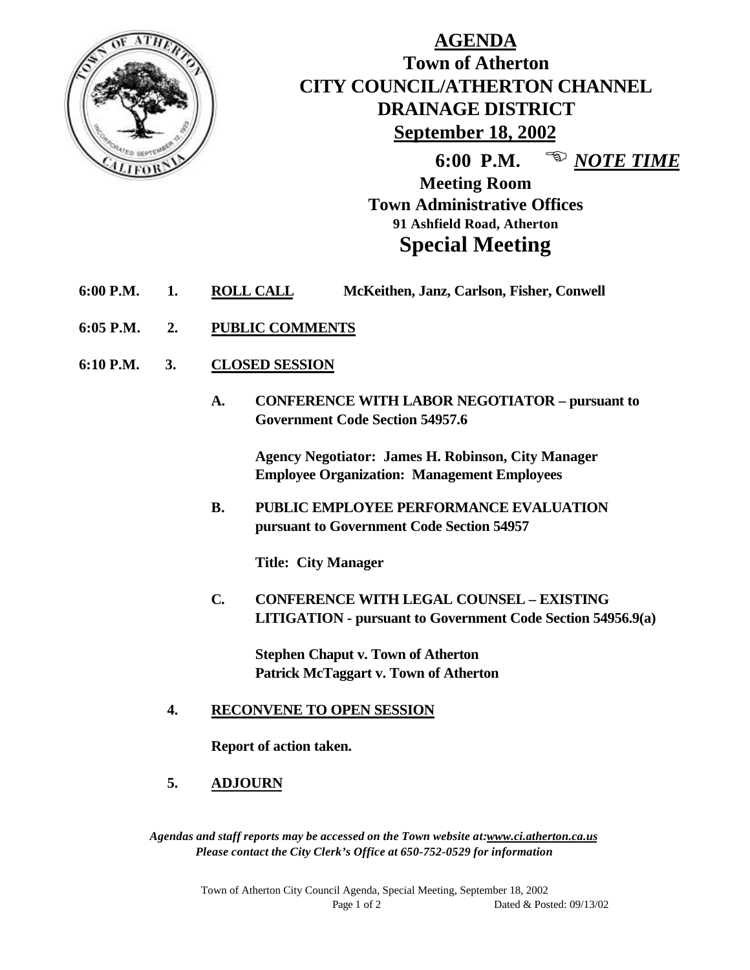

# **AGENDA Town of Atherton CITY COUNCIL/ATHERTON CHANNEL DRAINAGE DISTRICT September 18, 2002**

**6:00 P.M.** <sup>**E** *NOTE TIME*</sup>

**Meeting Room Town Administrative Offices 91 Ashfield Road, Atherton Special Meeting**

- **6:00 P.M. 1. ROLL CALL McKeithen, Janz, Carlson, Fisher, Conwell**
- **6:05 P.M. 2. PUBLIC COMMENTS**
- **6:10 P.M. 3. CLOSED SESSION**
	- **A. CONFERENCE WITH LABOR NEGOTIATOR pursuant to Government Code Section 54957.6**

**Agency Negotiator: James H. Robinson, City Manager Employee Organization: Management Employees**

**B. PUBLIC EMPLOYEE PERFORMANCE EVALUATION pursuant to Government Code Section 54957**

**Title: City Manager**

**C. CONFERENCE WITH LEGAL COUNSEL – EXISTING LITIGATION - pursuant to Government Code Section 54956.9(a)**

**Stephen Chaput v. Town of Atherton Patrick McTaggart v. Town of Atherton**

#### **4. RECONVENE TO OPEN SESSION**

**Report of action taken.**

**5. ADJOURN**

*Agendas and staff reports may be accessed on the Town website at:www.ci.atherton.ca.us Please contact the City Clerk's Office at 650-752-0529 for information*

> Town of Atherton City Council Agenda, Special Meeting, September 18, 2002 Page 1 of 2 Dated & Posted: 09/13/02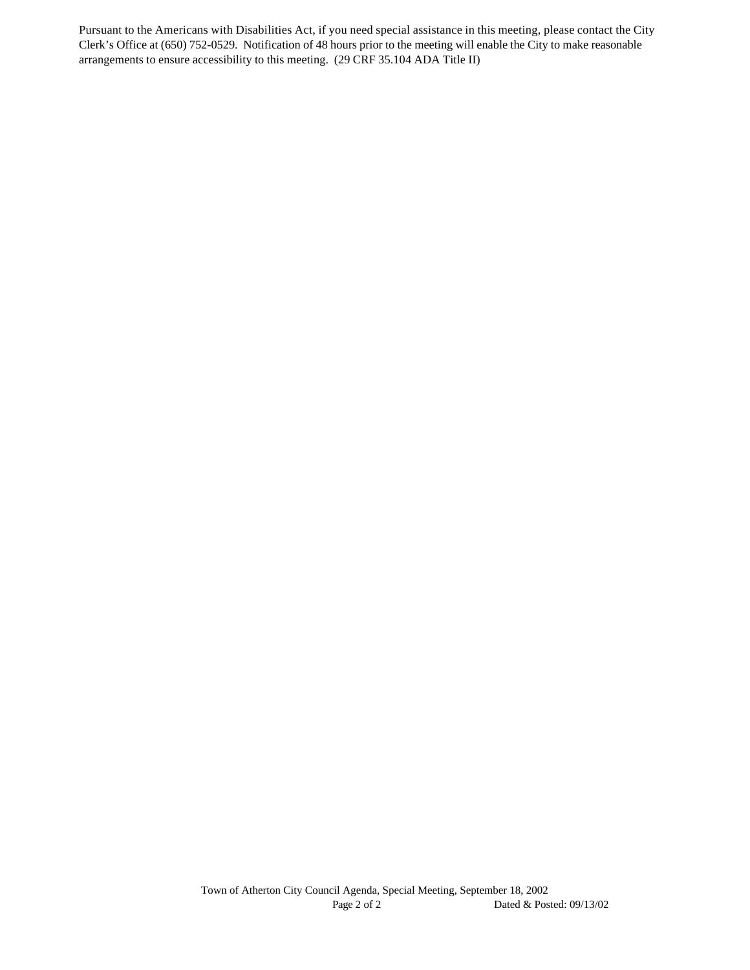Pursuant to the Americans with Disabilities Act, if you need special assistance in this meeting, please contact the City Clerk's Office at (650) 752-0529. Notification of 48 hours prior to the meeting will enable the City to make reasonable arrangements to ensure accessibility to this meeting. (29 CRF 35.104 ADA Title II)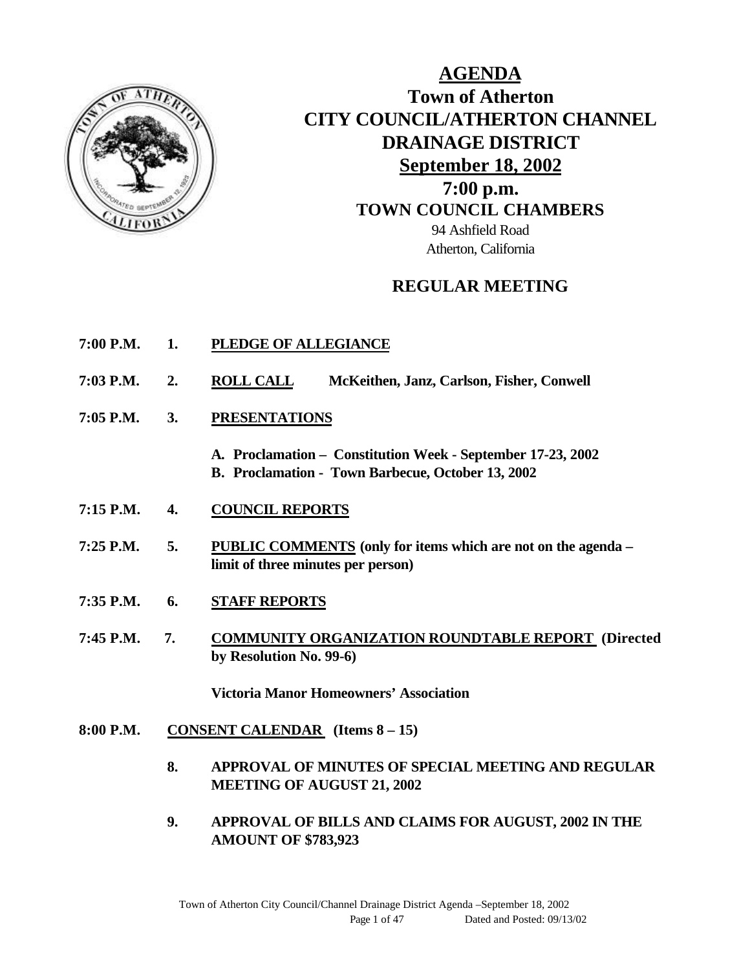

**AGENDA Town of Atherton CITY COUNCIL/ATHERTON CHANNEL DRAINAGE DISTRICT September 18, 2002 7:00 p.m. TOWN COUNCIL CHAMBERS** 94 Ashfield Road Atherton, California

## **REGULAR MEETING**

- **7:00 P.M. 1. PLEDGE OF ALLEGIANCE**
- **7:03 P.M. 2. ROLL CALL McKeithen, Janz, Carlson, Fisher, Conwell**
- **7:05 P.M. 3. PRESENTATIONS**
	- **A. Proclamation Constitution Week September 17-23, 2002 B. Proclamation - Town Barbecue, October 13, 2002**
- **7:15 P.M. 4. COUNCIL REPORTS**
- **7:25 P.M. 5. PUBLIC COMMENTS (only for items which are not on the agenda – limit of three minutes per person)**
- **7:35 P.M. 6. STAFF REPORTS**
- **7:45 P.M. 7. COMMUNITY ORGANIZATION ROUNDTABLE REPORT (Directed by Resolution No. 99-6)**

**Victoria Manor Homeowners' Association**

- **8:00 P.M. CONSENT CALENDAR (Items 8 15)**
	- **8. APPROVAL OF MINUTES OF SPECIAL MEETING AND REGULAR MEETING OF AUGUST 21, 2002**
	- **9. APPROVAL OF BILLS AND CLAIMS FOR AUGUST, 2002 IN THE AMOUNT OF \$783,923**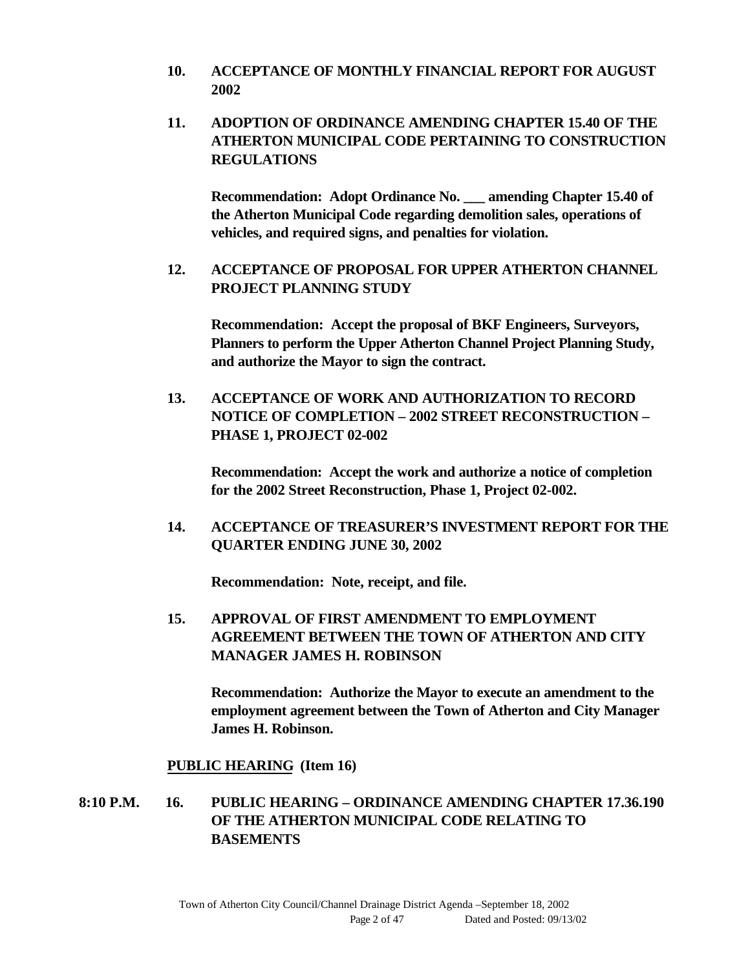- **10. ACCEPTANCE OF MONTHLY FINANCIAL REPORT FOR AUGUST 2002**
- **11. ADOPTION OF ORDINANCE AMENDING CHAPTER 15.40 OF THE ATHERTON MUNICIPAL CODE PERTAINING TO CONSTRUCTION REGULATIONS**

**Recommendation: Adopt Ordinance No. \_\_\_ amending Chapter 15.40 of the Atherton Municipal Code regarding demolition sales, operations of vehicles, and required signs, and penalties for violation.**

**12. ACCEPTANCE OF PROPOSAL FOR UPPER ATHERTON CHANNEL PROJECT PLANNING STUDY**

**Recommendation: Accept the proposal of BKF Engineers, Surveyors, Planners to perform the Upper Atherton Channel Project Planning Study, and authorize the Mayor to sign the contract.**

**13. ACCEPTANCE OF WORK AND AUTHORIZATION TO RECORD NOTICE OF COMPLETION – 2002 STREET RECONSTRUCTION – PHASE 1, PROJECT 02-002**

**Recommendation: Accept the work and authorize a notice of completion for the 2002 Street Reconstruction, Phase 1, Project 02-002.**

**14. ACCEPTANCE OF TREASURER'S INVESTMENT REPORT FOR THE QUARTER ENDING JUNE 30, 2002**

**Recommendation: Note, receipt, and file.**

**15. APPROVAL OF FIRST AMENDMENT TO EMPLOYMENT AGREEMENT BETWEEN THE TOWN OF ATHERTON AND CITY MANAGER JAMES H. ROBINSON**

**Recommendation: Authorize the Mayor to execute an amendment to the employment agreement between the Town of Atherton and City Manager James H. Robinson.**

#### **PUBLIC HEARING (Item 16)**

**8:10 P.M. 16. PUBLIC HEARING – ORDINANCE AMENDING CHAPTER 17.36.190 OF THE ATHERTON MUNICIPAL CODE RELATING TO BASEMENTS**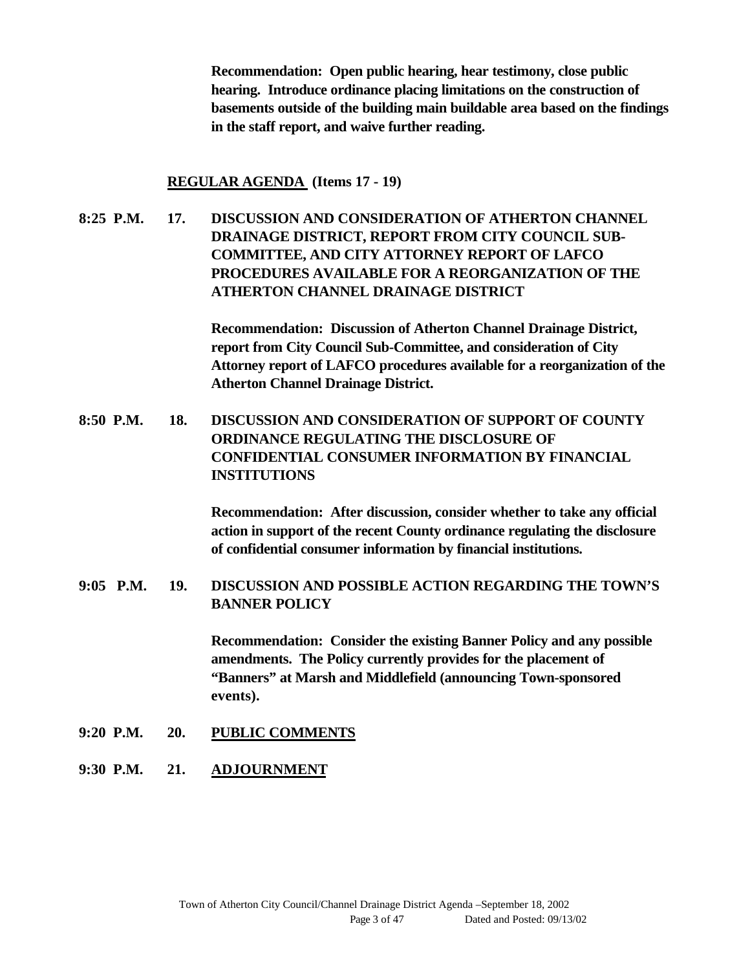**Recommendation: Open public hearing, hear testimony, close public hearing. Introduce ordinance placing limitations on the construction of basements outside of the building main buildable area based on the findings in the staff report, and waive further reading.**

#### **REGULAR AGENDA (Items 17 - 19)**

**8:25 P.M. 17. DISCUSSION AND CONSIDERATION OF ATHERTON CHANNEL DRAINAGE DISTRICT, REPORT FROM CITY COUNCIL SUB-COMMITTEE, AND CITY ATTORNEY REPORT OF LAFCO PROCEDURES AVAILABLE FOR A REORGANIZATION OF THE ATHERTON CHANNEL DRAINAGE DISTRICT**

> **Recommendation: Discussion of Atherton Channel Drainage District, report from City Council Sub-Committee, and consideration of City Attorney report of LAFCO procedures available for a reorganization of the Atherton Channel Drainage District.**

**8:50 P.M. 18. DISCUSSION AND CONSIDERATION OF SUPPORT OF COUNTY ORDINANCE REGULATING THE DISCLOSURE OF CONFIDENTIAL CONSUMER INFORMATION BY FINANCIAL INSTITUTIONS**

> **Recommendation: After discussion, consider whether to take any official action in support of the recent County ordinance regulating the disclosure of confidential consumer information by financial institutions.**

**9:05 P.M. 19. DISCUSSION AND POSSIBLE ACTION REGARDING THE TOWN'S BANNER POLICY**

> **Recommendation: Consider the existing Banner Policy and any possible amendments. The Policy currently provides for the placement of "Banners" at Marsh and Middlefield (announcing Town-sponsored events).**

- **9:20 P.M. 20. PUBLIC COMMENTS**
- **9:30 P.M. 21. ADJOURNMENT**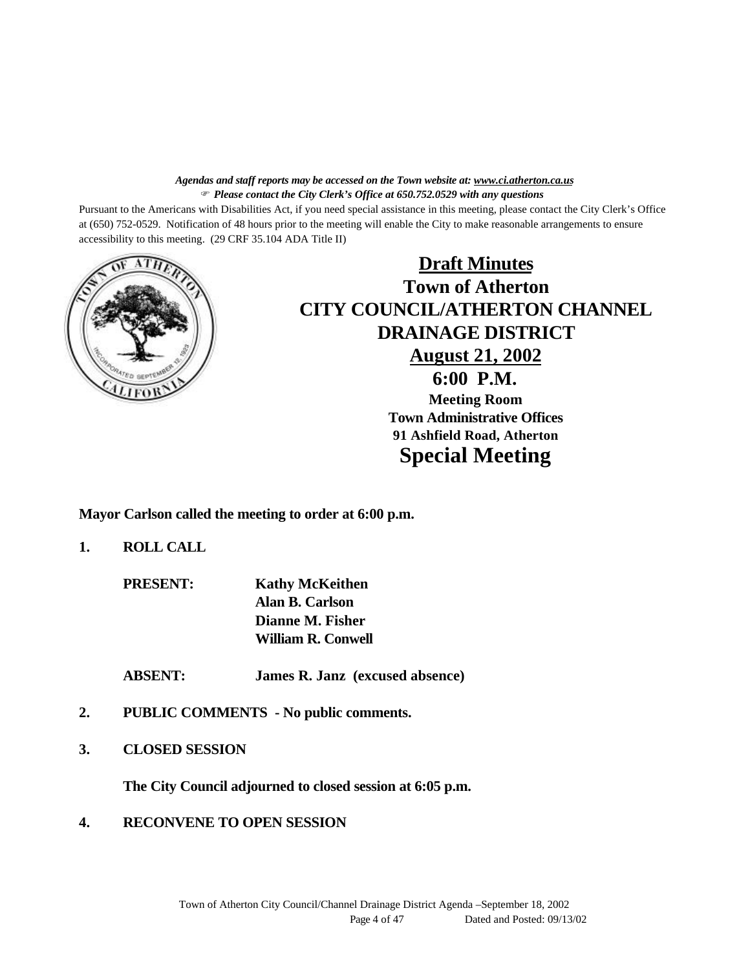#### *Agendas and staff reports may be accessed on the Town website at: www.ci.atherton.ca.us* F *Please contact the City Clerk's Office at 650.752.0529 with any questions*

Pursuant to the Americans with Disabilities Act, if you need special assistance in this meeting, please contact the City Clerk's Office at (650) 752-0529. Notification of 48 hours prior to the meeting will enable the City to make reasonable arrangements to ensure accessibility to this meeting. (29 CRF 35.104 ADA Title II)



**Draft Minutes Town of Atherton CITY COUNCIL/ATHERTON CHANNEL DRAINAGE DISTRICT August 21, 2002 6:00 P.M. Meeting Room Town Administrative Offices 91 Ashfield Road, Atherton Special Meeting**

**Mayor Carlson called the meeting to order at 6:00 p.m.**

**1. ROLL CALL**

**PRESENT: Kathy McKeithen Alan B. Carlson Dianne M. Fisher William R. Conwell**

**ABSENT: James R. Janz (excused absence)**

- **2. PUBLIC COMMENTS No public comments.**
- **3. CLOSED SESSION**

**The City Council adjourned to closed session at 6:05 p.m.**

**4. RECONVENE TO OPEN SESSION**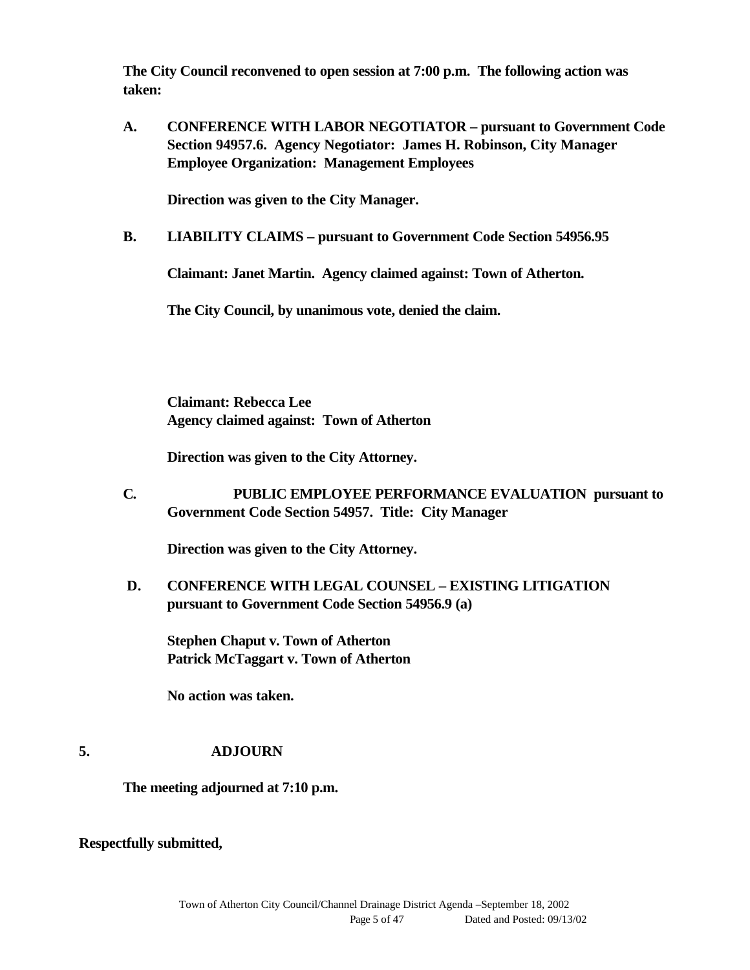**The City Council reconvened to open session at 7:00 p.m. The following action was taken:**

**A. CONFERENCE WITH LABOR NEGOTIATOR – pursuant to Government Code Section 94957.6. Agency Negotiator: James H. Robinson, City Manager Employee Organization: Management Employees**

**Direction was given to the City Manager.**

**B. LIABILITY CLAIMS – pursuant to Government Code Section 54956.95**

**Claimant: Janet Martin. Agency claimed against: Town of Atherton.**

**The City Council, by unanimous vote, denied the claim.**

**Claimant: Rebecca Lee Agency claimed against: Town of Atherton**

**Direction was given to the City Attorney.**

**C. PUBLIC EMPLOYEE PERFORMANCE EVALUATION pursuant to Government Code Section 54957. Title: City Manager**

**Direction was given to the City Attorney.**

 **D. CONFERENCE WITH LEGAL COUNSEL – EXISTING LITIGATION pursuant to Government Code Section 54956.9 (a)**

**Stephen Chaput v. Town of Atherton Patrick McTaggart v. Town of Atherton**

**No action was taken.**

#### **5. ADJOURN**

**The meeting adjourned at 7:10 p.m.**

**Respectfully submitted,**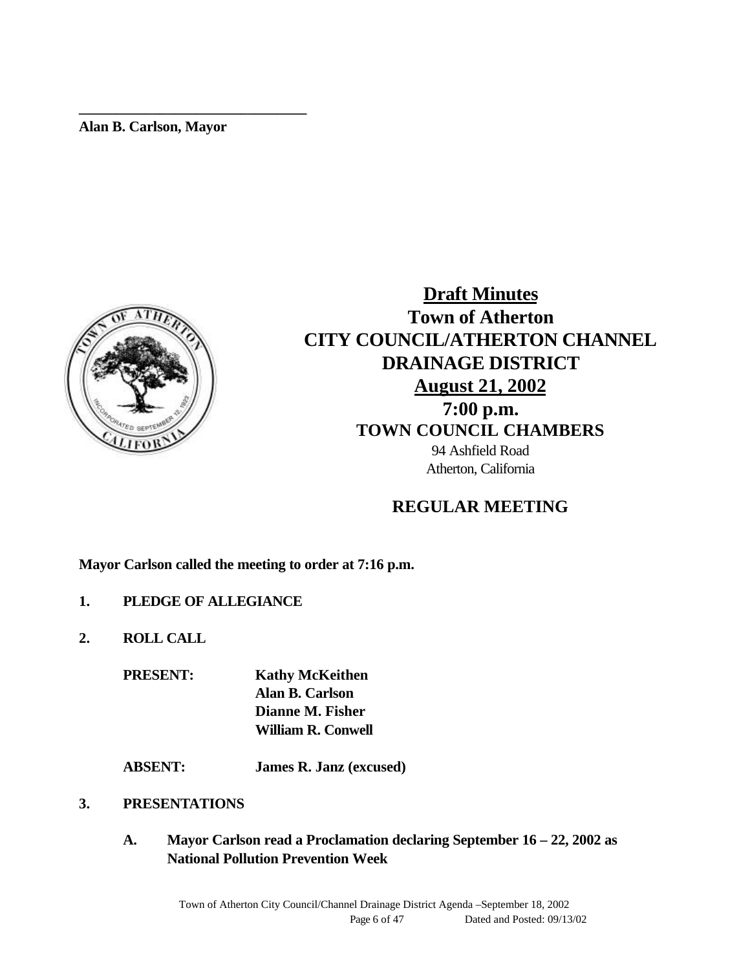**Alan B. Carlson, Mayor**

**\_\_\_\_\_\_\_\_\_\_\_\_\_\_\_\_\_\_\_\_\_\_\_\_\_\_\_\_\_\_\_**



**Draft Minutes Town of Atherton CITY COUNCIL/ATHERTON CHANNEL DRAINAGE DISTRICT August 21, 2002 7:00 p.m. TOWN COUNCIL CHAMBERS** 94 Ashfield Road Atherton, California

## **REGULAR MEETING**

**Mayor Carlson called the meeting to order at 7:16 p.m.**

- **1. PLEDGE OF ALLEGIANCE**
- **2. ROLL CALL**

**PRESENT: Kathy McKeithen Alan B. Carlson Dianne M. Fisher William R. Conwell**

**ABSENT: James R. Janz (excused)**

#### **3. PRESENTATIONS**

**A. Mayor Carlson read a Proclamation declaring September 16 – 22, 2002 as National Pollution Prevention Week**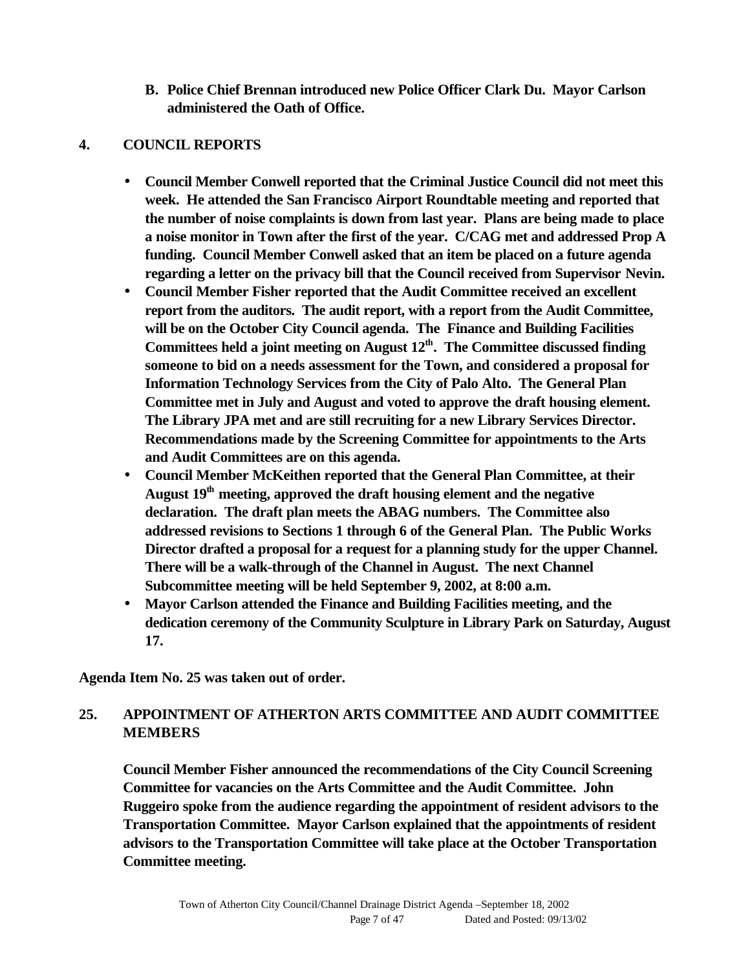**B. Police Chief Brennan introduced new Police Officer Clark Du. Mayor Carlson administered the Oath of Office.**

#### **4. COUNCIL REPORTS**

- **Council Member Conwell reported that the Criminal Justice Council did not meet this week. He attended the San Francisco Airport Roundtable meeting and reported that the number of noise complaints is down from last year. Plans are being made to place a noise monitor in Town after the first of the year. C/CAG met and addressed Prop A funding. Council Member Conwell asked that an item be placed on a future agenda regarding a letter on the privacy bill that the Council received from Supervisor Nevin.**
- **Council Member Fisher reported that the Audit Committee received an excellent report from the auditors. The audit report, with a report from the Audit Committee, will be on the October City Council agenda. The Finance and Building Facilities Committees held a joint meeting on August 12th. The Committee discussed finding someone to bid on a needs assessment for the Town, and considered a proposal for Information Technology Services from the City of Palo Alto. The General Plan Committee met in July and August and voted to approve the draft housing element. The Library JPA met and are still recruiting for a new Library Services Director. Recommendations made by the Screening Committee for appointments to the Arts and Audit Committees are on this agenda.**
- **Council Member McKeithen reported that the General Plan Committee, at their August 19th meeting, approved the draft housing element and the negative declaration. The draft plan meets the ABAG numbers. The Committee also addressed revisions to Sections 1 through 6 of the General Plan. The Public Works Director drafted a proposal for a request for a planning study for the upper Channel. There will be a walk-through of the Channel in August. The next Channel Subcommittee meeting will be held September 9, 2002, at 8:00 a.m.**
- **Mayor Carlson attended the Finance and Building Facilities meeting, and the dedication ceremony of the Community Sculpture in Library Park on Saturday, August 17.**

**Agenda Item No. 25 was taken out of order.**

## **25. APPOINTMENT OF ATHERTON ARTS COMMITTEE AND AUDIT COMMITTEE MEMBERS**

**Council Member Fisher announced the recommendations of the City Council Screening Committee for vacancies on the Arts Committee and the Audit Committee. John Ruggeiro spoke from the audience regarding the appointment of resident advisors to the Transportation Committee. Mayor Carlson explained that the appointments of resident advisors to the Transportation Committee will take place at the October Transportation Committee meeting.**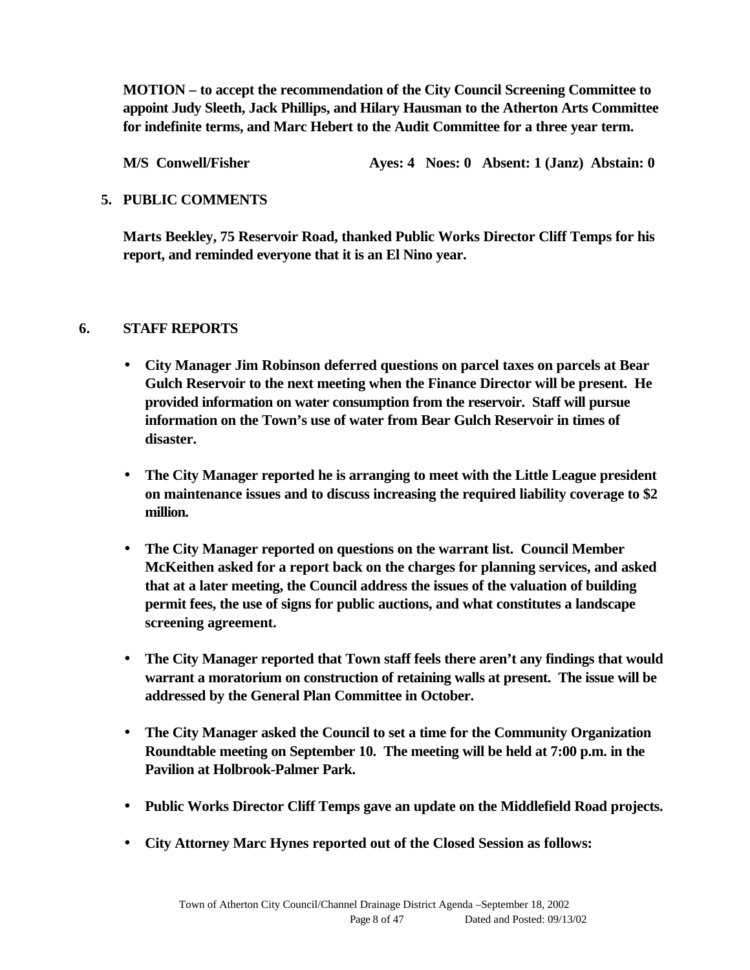**MOTION – to accept the recommendation of the City Council Screening Committee to appoint Judy Sleeth, Jack Phillips, and Hilary Hausman to the Atherton Arts Committee for indefinite terms, and Marc Hebert to the Audit Committee for a three year term.**

**M/S Conwell/Fisher Ayes: 4 Noes: 0 Absent: 1 (Janz) Abstain: 0**

#### **5. PUBLIC COMMENTS**

**Marts Beekley, 75 Reservoir Road, thanked Public Works Director Cliff Temps for his report, and reminded everyone that it is an El Nino year.**

#### **6. STAFF REPORTS**

- **City Manager Jim Robinson deferred questions on parcel taxes on parcels at Bear Gulch Reservoir to the next meeting when the Finance Director will be present. He provided information on water consumption from the reservoir. Staff will pursue information on the Town's use of water from Bear Gulch Reservoir in times of disaster.**
- **The City Manager reported he is arranging to meet with the Little League president on maintenance issues and to discuss increasing the required liability coverage to \$2 million.**
- **The City Manager reported on questions on the warrant list. Council Member McKeithen asked for a report back on the charges for planning services, and asked that at a later meeting, the Council address the issues of the valuation of building permit fees, the use of signs for public auctions, and what constitutes a landscape screening agreement.**
- **The City Manager reported that Town staff feels there aren't any findings that would warrant a moratorium on construction of retaining walls at present. The issue will be addressed by the General Plan Committee in October.**
- **The City Manager asked the Council to set a time for the Community Organization Roundtable meeting on September 10. The meeting will be held at 7:00 p.m. in the Pavilion at Holbrook-Palmer Park.**
- **Public Works Director Cliff Temps gave an update on the Middlefield Road projects.**
- **City Attorney Marc Hynes reported out of the Closed Session as follows:**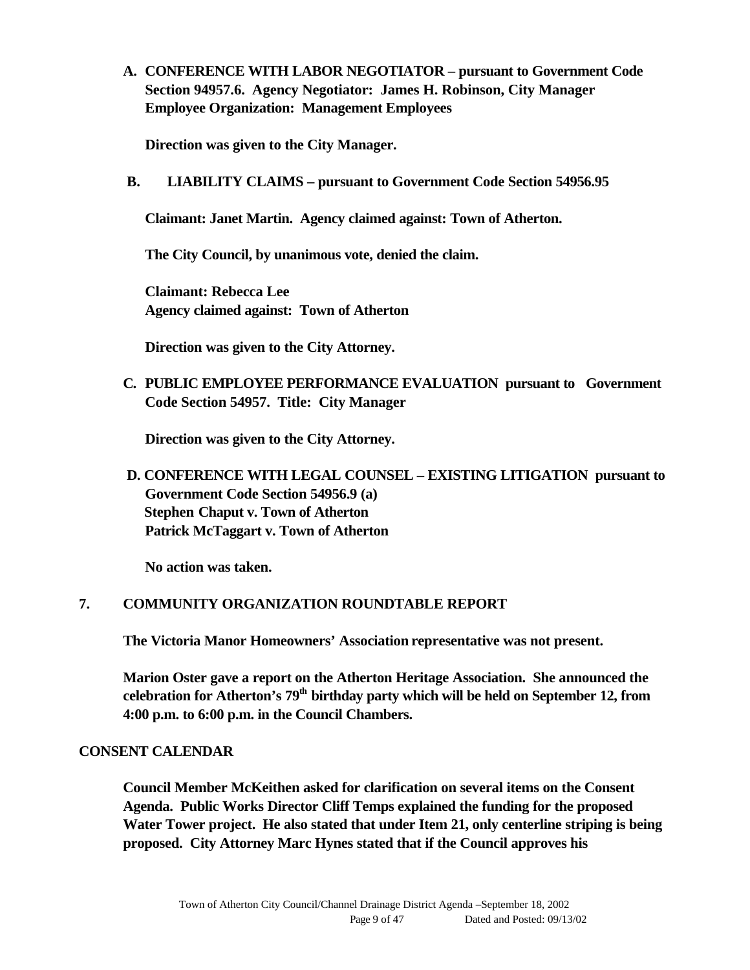**A. CONFERENCE WITH LABOR NEGOTIATOR – pursuant to Government Code Section 94957.6. Agency Negotiator: James H. Robinson, City Manager Employee Organization: Management Employees**

**Direction was given to the City Manager.**

**B. LIABILITY CLAIMS – pursuant to Government Code Section 54956.95**

**Claimant: Janet Martin. Agency claimed against: Town of Atherton.**

**The City Council, by unanimous vote, denied the claim.**

 **Claimant: Rebecca Lee Agency claimed against: Town of Atherton**

**Direction was given to the City Attorney.**

**C. PUBLIC EMPLOYEE PERFORMANCE EVALUATION pursuant to Government Code Section 54957. Title: City Manager**

**Direction was given to the City Attorney.**

 **D. CONFERENCE WITH LEGAL COUNSEL – EXISTING LITIGATION pursuant to Government Code Section 54956.9 (a) Stephen Chaput v. Town of Atherton Patrick McTaggart v. Town of Atherton**

 **No action was taken.**

#### **7. COMMUNITY ORGANIZATION ROUNDTABLE REPORT**

**The Victoria Manor Homeowners' Association representative was not present.**

**Marion Oster gave a report on the Atherton Heritage Association. She announced the celebration for Atherton's 79th birthday party which will be held on September 12, from 4:00 p.m. to 6:00 p.m. in the Council Chambers.**

#### **CONSENT CALENDAR**

**Council Member McKeithen asked for clarification on several items on the Consent Agenda. Public Works Director Cliff Temps explained the funding for the proposed Water Tower project. He also stated that under Item 21, only centerline striping is being proposed. City Attorney Marc Hynes stated that if the Council approves his**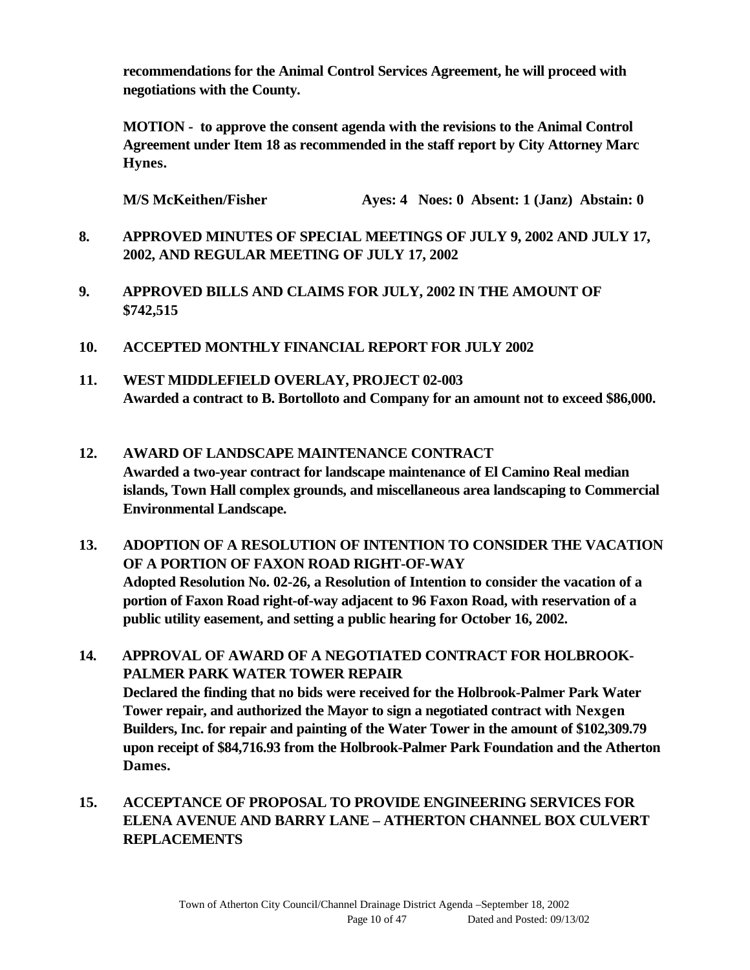**recommendations for the Animal Control Services Agreement, he will proceed with negotiations with the County.**

**MOTION - to approve the consent agenda with the revisions to the Animal Control Agreement under Item 18 as recommended in the staff report by City Attorney Marc Hynes.**

**M/S McKeithen/Fisher Ayes: 4 Noes: 0 Absent: 1 (Janz) Abstain: 0**

- **8. APPROVED MINUTES OF SPECIAL MEETINGS OF JULY 9, 2002 AND JULY 17, 2002, AND REGULAR MEETING OF JULY 17, 2002**
- **9. APPROVED BILLS AND CLAIMS FOR JULY, 2002 IN THE AMOUNT OF \$742,515**
- **10. ACCEPTED MONTHLY FINANCIAL REPORT FOR JULY 2002**
- **11. WEST MIDDLEFIELD OVERLAY, PROJECT 02-003 Awarded a contract to B. Bortolloto and Company for an amount not to exceed \$86,000.**
- **12. AWARD OF LANDSCAPE MAINTENANCE CONTRACT Awarded a two-year contract for landscape maintenance of El Camino Real median islands, Town Hall complex grounds, and miscellaneous area landscaping to Commercial Environmental Landscape.**
- **13. ADOPTION OF A RESOLUTION OF INTENTION TO CONSIDER THE VACATION OF A PORTION OF FAXON ROAD RIGHT-OF-WAY Adopted Resolution No. 02-26, a Resolution of Intention to consider the vacation of a portion of Faxon Road right-of-way adjacent to 96 Faxon Road, with reservation of a public utility easement, and setting a public hearing for October 16, 2002.**
- **14. APPROVAL OF AWARD OF A NEGOTIATED CONTRACT FOR HOLBROOK-PALMER PARK WATER TOWER REPAIR Declared the finding that no bids were received for the Holbrook-Palmer Park Water Tower repair, and authorized the Mayor to sign a negotiated contract with Nexgen Builders, Inc. for repair and painting of the Water Tower in the amount of \$102,309.79 upon receipt of \$84,716.93 from the Holbrook-Palmer Park Foundation and the Atherton Dames.**
- **15. ACCEPTANCE OF PROPOSAL TO PROVIDE ENGINEERING SERVICES FOR ELENA AVENUE AND BARRY LANE – ATHERTON CHANNEL BOX CULVERT REPLACEMENTS**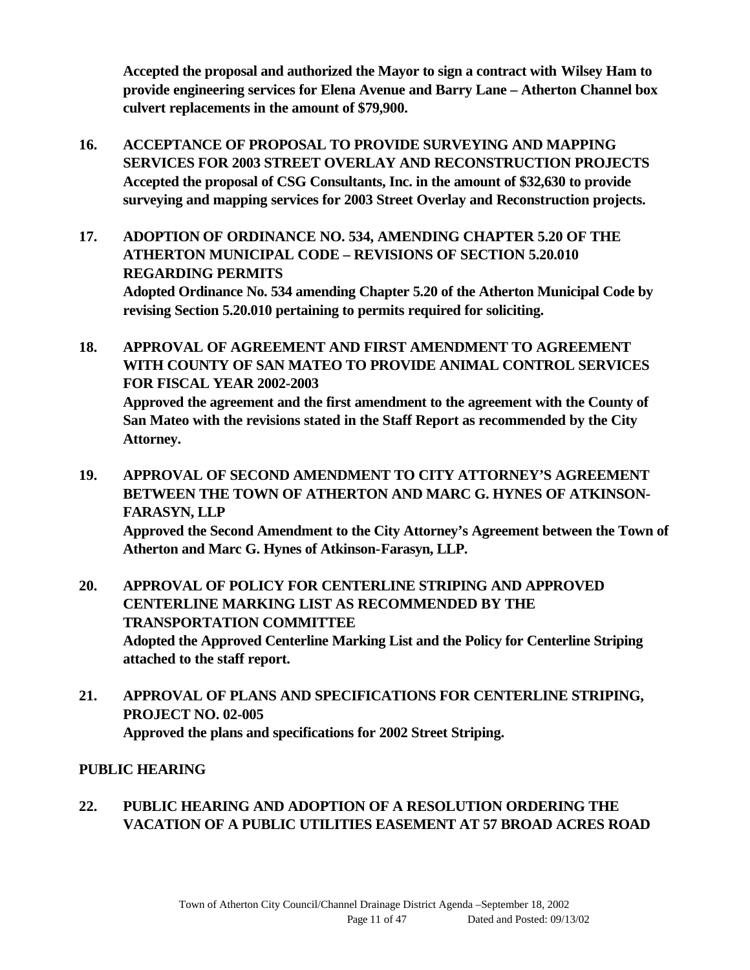**Accepted the proposal and authorized the Mayor to sign a contract with Wilsey Ham to provide engineering services for Elena Avenue and Barry Lane – Atherton Channel box culvert replacements in the amount of \$79,900.**

- **16. ACCEPTANCE OF PROPOSAL TO PROVIDE SURVEYING AND MAPPING SERVICES FOR 2003 STREET OVERLAY AND RECONSTRUCTION PROJECTS Accepted the proposal of CSG Consultants, Inc. in the amount of \$32,630 to provide surveying and mapping services for 2003 Street Overlay and Reconstruction projects.**
- **17. ADOPTION OF ORDINANCE NO. 534, AMENDING CHAPTER 5.20 OF THE ATHERTON MUNICIPAL CODE – REVISIONS OF SECTION 5.20.010 REGARDING PERMITS Adopted Ordinance No. 534 amending Chapter 5.20 of the Atherton Municipal Code by revising Section 5.20.010 pertaining to permits required for soliciting.**
- **18. APPROVAL OF AGREEMENT AND FIRST AMENDMENT TO AGREEMENT WITH COUNTY OF SAN MATEO TO PROVIDE ANIMAL CONTROL SERVICES FOR FISCAL YEAR 2002-2003 Approved the agreement and the first amendment to the agreement with the County of San Mateo with the revisions stated in the Staff Report as recommended by the City Attorney.**
- **19. APPROVAL OF SECOND AMENDMENT TO CITY ATTORNEY'S AGREEMENT BETWEEN THE TOWN OF ATHERTON AND MARC G. HYNES OF ATKINSON-FARASYN, LLP Approved the Second Amendment to the City Attorney's Agreement between the Town of Atherton and Marc G. Hynes of Atkinson-Farasyn, LLP.**
- **20. APPROVAL OF POLICY FOR CENTERLINE STRIPING AND APPROVED CENTERLINE MARKING LIST AS RECOMMENDED BY THE TRANSPORTATION COMMITTEE Adopted the Approved Centerline Marking List and the Policy for Centerline Striping attached to the staff report.**
- **21. APPROVAL OF PLANS AND SPECIFICATIONS FOR CENTERLINE STRIPING, PROJECT NO. 02-005 Approved the plans and specifications for 2002 Street Striping.**

## **PUBLIC HEARING**

## **22. PUBLIC HEARING AND ADOPTION OF A RESOLUTION ORDERING THE VACATION OF A PUBLIC UTILITIES EASEMENT AT 57 BROAD ACRES ROAD**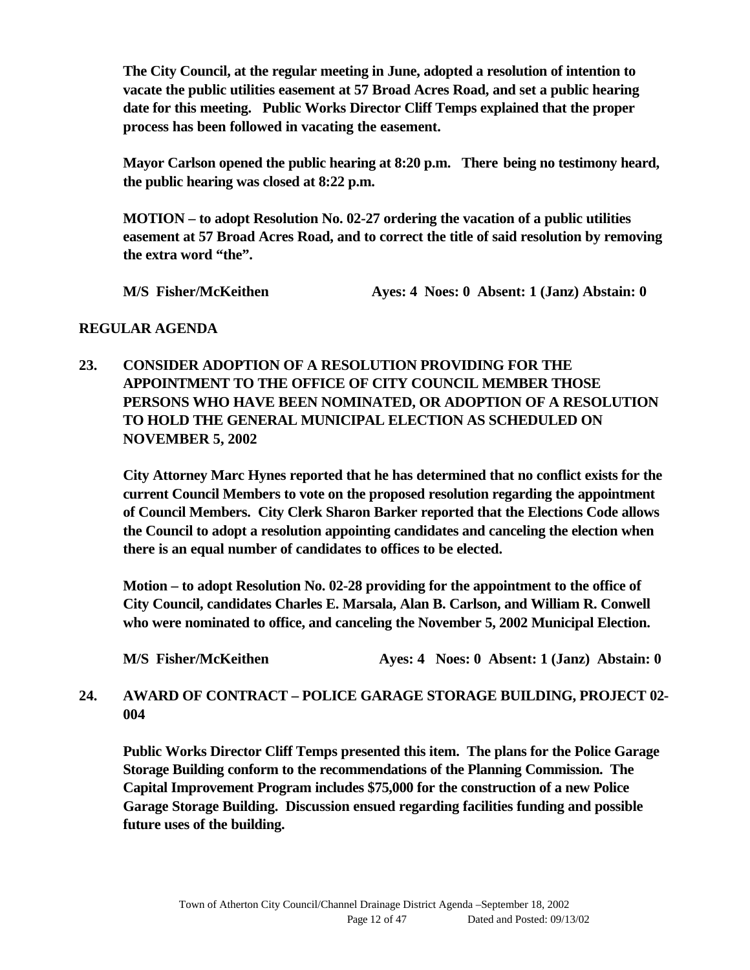**The City Council, at the regular meeting in June, adopted a resolution of intention to vacate the public utilities easement at 57 Broad Acres Road, and set a public hearing date for this meeting. Public Works Director Cliff Temps explained that the proper process has been followed in vacating the easement.**

**Mayor Carlson opened the public hearing at 8:20 p.m. There being no testimony heard, the public hearing was closed at 8:22 p.m.**

**MOTION – to adopt Resolution No. 02-27 ordering the vacation of a public utilities easement at 57 Broad Acres Road, and to correct the title of said resolution by removing the extra word "the".**

**M/S Fisher/McKeithen Ayes: 4 Noes: 0 Absent: 1 (Janz) Abstain: 0**

#### **REGULAR AGENDA**

**23. CONSIDER ADOPTION OF A RESOLUTION PROVIDING FOR THE APPOINTMENT TO THE OFFICE OF CITY COUNCIL MEMBER THOSE PERSONS WHO HAVE BEEN NOMINATED, OR ADOPTION OF A RESOLUTION TO HOLD THE GENERAL MUNICIPAL ELECTION AS SCHEDULED ON NOVEMBER 5, 2002**

**City Attorney Marc Hynes reported that he has determined that no conflict exists for the current Council Members to vote on the proposed resolution regarding the appointment of Council Members. City Clerk Sharon Barker reported that the Elections Code allows the Council to adopt a resolution appointing candidates and canceling the election when there is an equal number of candidates to offices to be elected.**

**Motion – to adopt Resolution No. 02-28 providing for the appointment to the office of City Council, candidates Charles E. Marsala, Alan B. Carlson, and William R. Conwell who were nominated to office, and canceling the November 5, 2002 Municipal Election.**

**M/S Fisher/McKeithen Ayes: 4 Noes: 0 Absent: 1 (Janz) Abstain: 0**

## **24. AWARD OF CONTRACT – POLICE GARAGE STORAGE BUILDING, PROJECT 02- 004**

**Public Works Director Cliff Temps presented this item. The plans for the Police Garage Storage Building conform to the recommendations of the Planning Commission. The Capital Improvement Program includes \$75,000 for the construction of a new Police Garage Storage Building. Discussion ensued regarding facilities funding and possible future uses of the building.**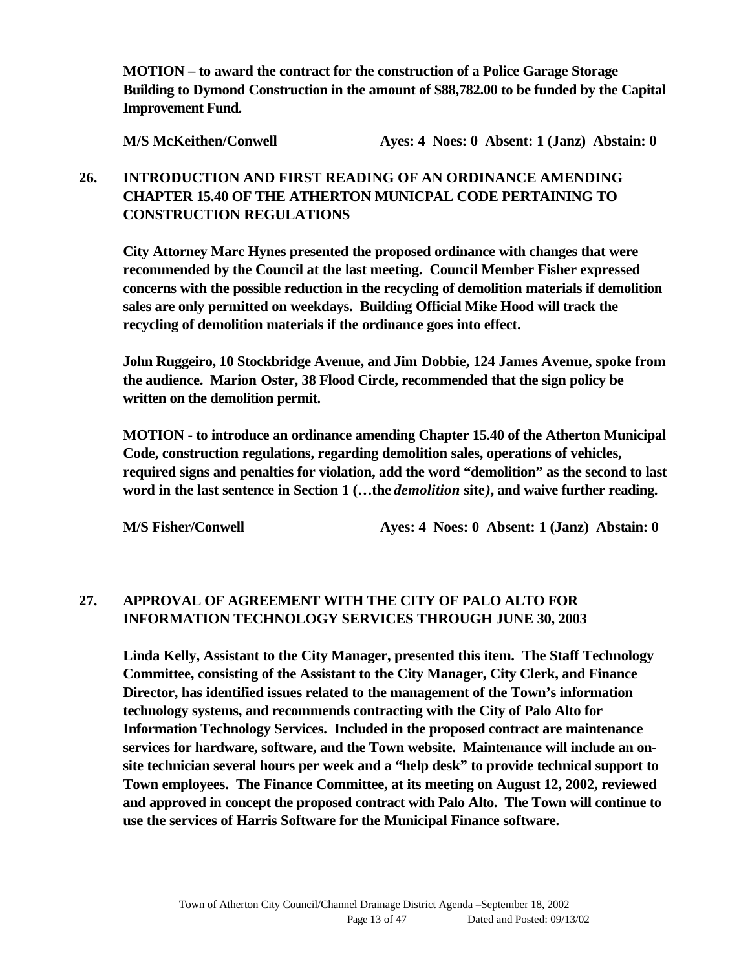**MOTION – to award the contract for the construction of a Police Garage Storage Building to Dymond Construction in the amount of \$88,782.00 to be funded by the Capital Improvement Fund.**

**M/S McKeithen/Conwell Ayes: 4 Noes: 0 Absent: 1 (Janz) Abstain: 0**

## **26. INTRODUCTION AND FIRST READING OF AN ORDINANCE AMENDING CHAPTER 15.40 OF THE ATHERTON MUNICPAL CODE PERTAINING TO CONSTRUCTION REGULATIONS**

**City Attorney Marc Hynes presented the proposed ordinance with changes that were recommended by the Council at the last meeting. Council Member Fisher expressed concerns with the possible reduction in the recycling of demolition materials if demolition sales are only permitted on weekdays. Building Official Mike Hood will track the recycling of demolition materials if the ordinance goes into effect.**

**John Ruggeiro, 10 Stockbridge Avenue, and Jim Dobbie, 124 James Avenue, spoke from the audience. Marion Oster, 38 Flood Circle, recommended that the sign policy be written on the demolition permit.**

**MOTION - to introduce an ordinance amending Chapter 15.40 of the Atherton Municipal Code, construction regulations, regarding demolition sales, operations of vehicles, required signs and penalties for violation, add the word "demolition" as the second to last** word in the last sentence in Section 1 (...the *demolition* site), and waive further reading.

**M/S Fisher/Conwell Ayes: 4 Noes: 0 Absent: 1 (Janz) Abstain: 0**

## **27. APPROVAL OF AGREEMENT WITH THE CITY OF PALO ALTO FOR INFORMATION TECHNOLOGY SERVICES THROUGH JUNE 30, 2003**

**Linda Kelly, Assistant to the City Manager, presented this item. The Staff Technology Committee, consisting of the Assistant to the City Manager, City Clerk, and Finance Director, has identified issues related to the management of the Town's information technology systems, and recommends contracting with the City of Palo Alto for Information Technology Services. Included in the proposed contract are maintenance services for hardware, software, and the Town website. Maintenance will include an onsite technician several hours per week and a "help desk" to provide technical support to Town employees. The Finance Committee, at its meeting on August 12, 2002, reviewed and approved in concept the proposed contract with Palo Alto. The Town will continue to use the services of Harris Software for the Municipal Finance software.**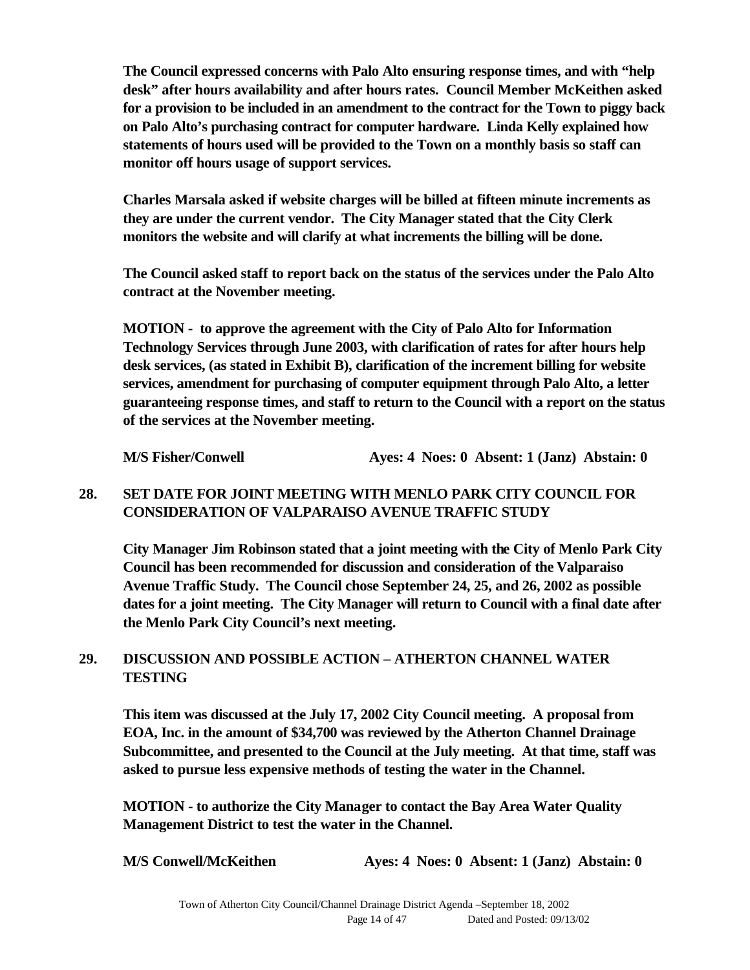**The Council expressed concerns with Palo Alto ensuring response times, and with "help desk" after hours availability and after hours rates. Council Member McKeithen asked for a provision to be included in an amendment to the contract for the Town to piggy back on Palo Alto's purchasing contract for computer hardware. Linda Kelly explained how statements of hours used will be provided to the Town on a monthly basis so staff can monitor off hours usage of support services.**

**Charles Marsala asked if website charges will be billed at fifteen minute increments as they are under the current vendor. The City Manager stated that the City Clerk monitors the website and will clarify at what increments the billing will be done.**

**The Council asked staff to report back on the status of the services under the Palo Alto contract at the November meeting.**

**MOTION - to approve the agreement with the City of Palo Alto for Information Technology Services through June 2003, with clarification of rates for after hours help desk services, (as stated in Exhibit B), clarification of the increment billing for website services, amendment for purchasing of computer equipment through Palo Alto, a letter guaranteeing response times, and staff to return to the Council with a report on the status of the services at the November meeting.**

**M/S Fisher/Conwell Ayes: 4 Noes: 0 Absent: 1 (Janz) Abstain: 0** 

## **28. SET DATE FOR JOINT MEETING WITH MENLO PARK CITY COUNCIL FOR CONSIDERATION OF VALPARAISO AVENUE TRAFFIC STUDY**

**City Manager Jim Robinson stated that a joint meeting with the City of Menlo Park City Council has been recommended for discussion and consideration of the Valparaiso Avenue Traffic Study. The Council chose September 24, 25, and 26, 2002 as possible dates for a joint meeting. The City Manager will return to Council with a final date after the Menlo Park City Council's next meeting.**

#### **29. DISCUSSION AND POSSIBLE ACTION – ATHERTON CHANNEL WATER TESTING**

**This item was discussed at the July 17, 2002 City Council meeting. A proposal from EOA, Inc. in the amount of \$34,700 was reviewed by the Atherton Channel Drainage Subcommittee, and presented to the Council at the July meeting. At that time, staff was asked to pursue less expensive methods of testing the water in the Channel.**

**MOTION - to authorize the City Manager to contact the Bay Area Water Quality Management District to test the water in the Channel.**

**M/S Conwell/McKeithen Ayes: 4 Noes: 0 Absent: 1 (Janz) Abstain: 0**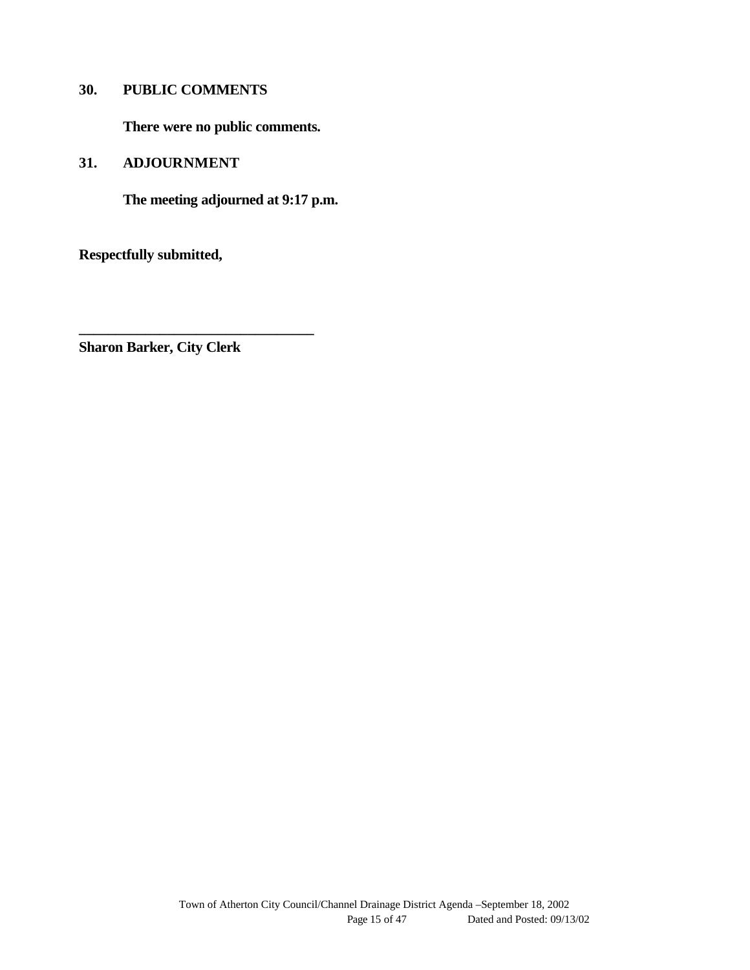#### **30. PUBLIC COMMENTS**

**There were no public comments.**

**31. ADJOURNMENT**

**The meeting adjourned at 9:17 p.m.**

**Respectfully submitted,**

**Sharon Barker, City Clerk**

**\_\_\_\_\_\_\_\_\_\_\_\_\_\_\_\_\_\_\_\_\_\_\_\_\_\_\_\_\_\_\_\_**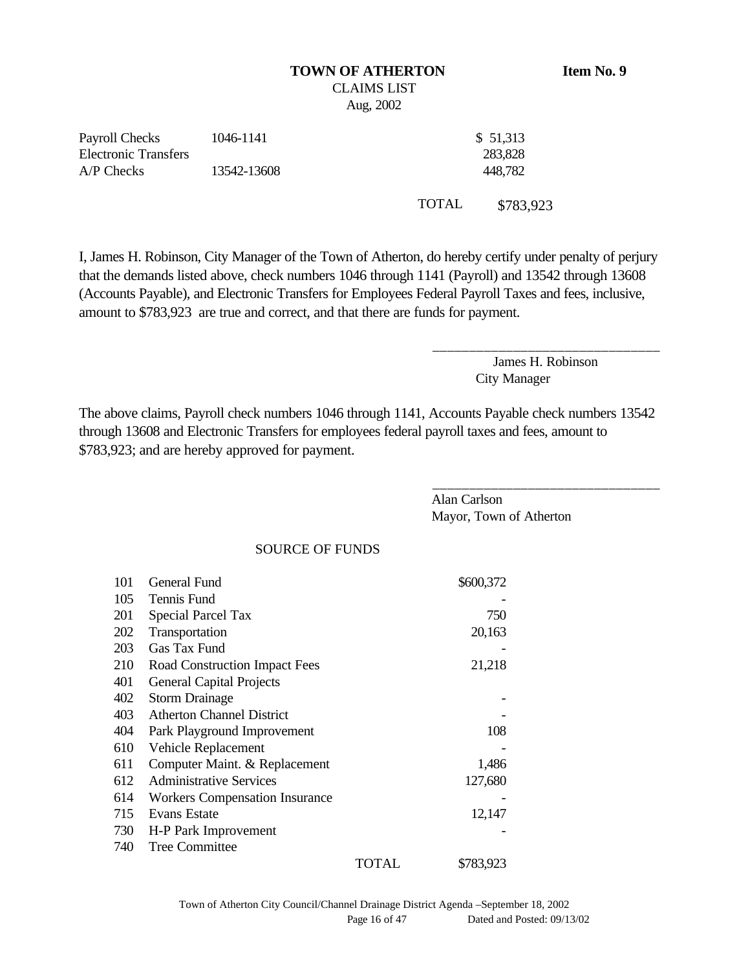#### **TOWN OF ATHERTON Item No. 9** CLAIMS LIST Aug, 2002

| Payroll Checks       | 1046-1141   | \$51,313 |
|----------------------|-------------|----------|
| Electronic Transfers |             | 283,828  |
| A/P Checks           | 13542-13608 | 448,782  |
|                      |             |          |

I, James H. Robinson, City Manager of the Town of Atherton, do hereby certify under penalty of perjury that the demands listed above, check numbers 1046 through 1141 (Payroll) and 13542 through 13608 (Accounts Payable), and Electronic Transfers for Employees Federal Payroll Taxes and fees, inclusive, amount to \$783,923 are true and correct, and that there are funds for payment.

> James H. Robinson City Manager

\_\_\_\_\_\_\_\_\_\_\_\_\_\_\_\_\_\_\_\_\_\_\_\_\_\_\_\_\_\_\_

TOTAL \$783,923

The above claims, Payroll check numbers 1046 through 1141, Accounts Payable check numbers 13542 through 13608 and Electronic Transfers for employees federal payroll taxes and fees, amount to \$783,923; and are hereby approved for payment.

|     |                                       | Alan Carlson<br>Mayor, Town of Atherton |  |
|-----|---------------------------------------|-----------------------------------------|--|
|     | <b>SOURCE OF FUNDS</b>                |                                         |  |
| 101 | General Fund                          | \$600,372                               |  |
| 105 | Tennis Fund                           |                                         |  |
| 201 | <b>Special Parcel Tax</b>             | 750                                     |  |
| 202 | Transportation                        | 20,163                                  |  |
| 203 | Gas Tax Fund                          |                                         |  |
| 210 | Road Construction Impact Fees         | 21,218                                  |  |
| 401 | <b>General Capital Projects</b>       |                                         |  |
| 402 | <b>Storm Drainage</b>                 |                                         |  |
| 403 | <b>Atherton Channel District</b>      |                                         |  |
| 404 | Park Playground Improvement           | 108                                     |  |
| 610 | Vehicle Replacement                   |                                         |  |
| 611 | Computer Maint. & Replacement         | 1,486                                   |  |
| 612 | <b>Administrative Services</b>        | 127,680                                 |  |
| 614 | <b>Workers Compensation Insurance</b> |                                         |  |
| 715 | Evans Estate                          | 12,147                                  |  |
| 730 | H-P Park Improvement                  |                                         |  |
| 740 | <b>Tree Committee</b>                 |                                         |  |
|     | <b>TOTAL</b>                          | \$783,923                               |  |
|     |                                       |                                         |  |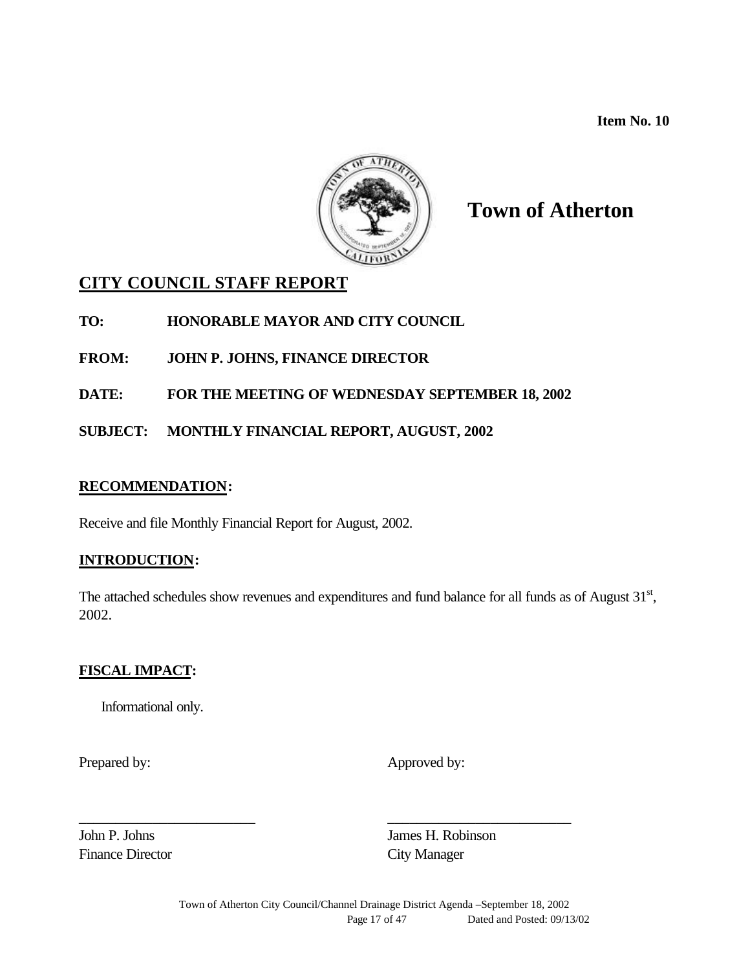**Item No. 10**



# **Town of Atherton**

## **CITY COUNCIL STAFF REPORT**

## **TO: HONORABLE MAYOR AND CITY COUNCIL**

## **FROM: JOHN P. JOHNS, FINANCE DIRECTOR**

## **DATE: FOR THE MEETING OF WEDNESDAY SEPTEMBER 18, 2002**

## **SUBJECT: MONTHLY FINANCIAL REPORT, AUGUST, 2002**

#### **RECOMMENDATION:**

Receive and file Monthly Financial Report for August, 2002.

## **INTRODUCTION:**

The attached schedules show revenues and expenditures and fund balance for all funds as of August 31<sup>st</sup>, 2002.

## **FISCAL IMPACT:**

Informational only.

Prepared by: Approved by:

Finance Director City Manager

John P. Johns James H. Robinson

\_\_\_\_\_\_\_\_\_\_\_\_\_\_\_\_\_\_\_\_\_\_\_\_ \_\_\_\_\_\_\_\_\_\_\_\_\_\_\_\_\_\_\_\_\_\_\_\_\_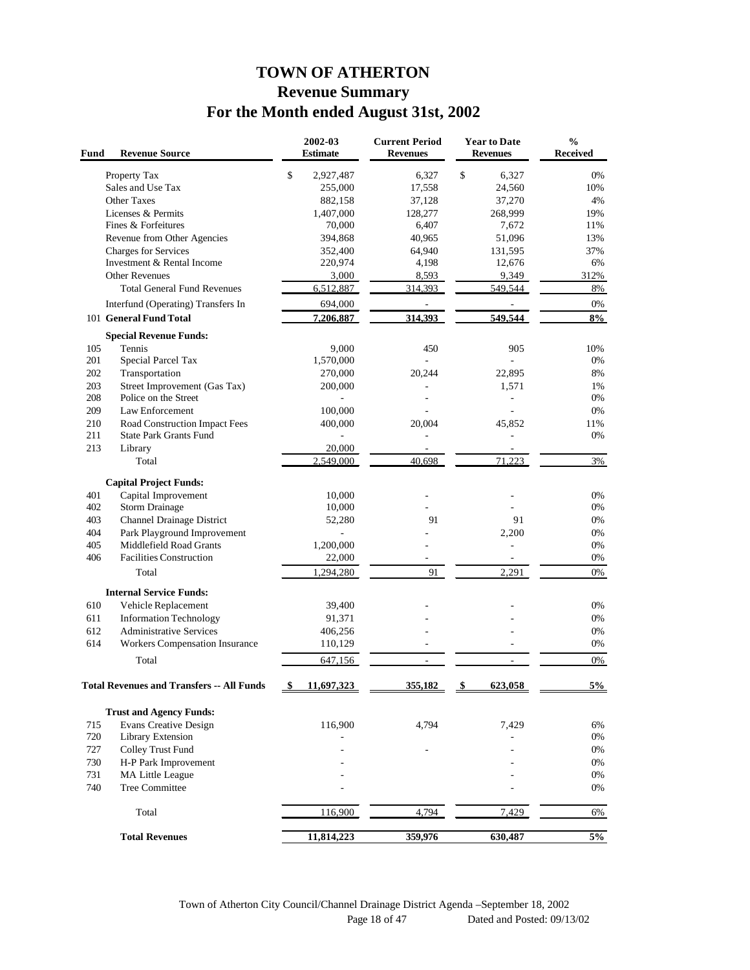# **TOWN OF ATHERTON Revenue Summary For the Month ended August 31st, 2002**

| Fund       | <b>Revenue Source</b>                             | 2002-03<br><b>Estimate</b> | <b>Current Period</b><br><b>Revenues</b> | <b>Year to Date</b><br><b>Revenues</b> | $\%$<br><b>Received</b> |
|------------|---------------------------------------------------|----------------------------|------------------------------------------|----------------------------------------|-------------------------|
|            | Property Tax                                      | \$<br>2,927,487            | 6,327                                    | \$<br>6,327                            | 0%                      |
|            | Sales and Use Tax                                 | 255,000                    | 17,558                                   | 24,560                                 | 10%                     |
|            | <b>Other Taxes</b>                                | 882,158                    | 37,128                                   | 37,270                                 | 4%                      |
|            | Licenses & Permits                                | 1,407,000                  | 128,277                                  | 268,999                                | 19%                     |
|            | Fines & Forfeitures                               | 70,000                     | 6,407                                    | 7,672                                  | 11%                     |
|            | Revenue from Other Agencies                       | 394,868                    | 40,965                                   | 51,096                                 | 13%                     |
|            | Charges for Services                              | 352,400                    | 64,940                                   | 131,595                                | 37%                     |
|            | Investment & Rental Income                        | 220,974                    | 4,198                                    | 12,676                                 | 6%                      |
|            | <b>Other Revenues</b>                             | 3,000                      | 8,593                                    | 9,349                                  | 312%                    |
|            | <b>Total General Fund Revenues</b>                | 6,512,887                  | 314.393                                  | 549,544                                | 8%                      |
|            | Interfund (Operating) Transfers In                | 694,000                    |                                          |                                        | 0%                      |
|            | 101 General Fund Total                            | 7,206,887                  | 314,393                                  | 549,544                                | 8%                      |
|            | <b>Special Revenue Funds:</b>                     |                            |                                          |                                        |                         |
| 105        | Tennis                                            | 9,000                      | 450                                      | 905                                    | 10%                     |
| 201        | Special Parcel Tax                                | 1,570,000                  |                                          |                                        | 0%                      |
| 202        | Transportation                                    | 270,000                    | 20,244                                   | 22,895                                 | 8%                      |
| 203        | Street Improvement (Gas Tax)                      | 200,000                    |                                          | 1,571                                  | 1%                      |
| 208        | Police on the Street                              |                            |                                          |                                        | 0%                      |
| 209        | Law Enforcement                                   | 100,000                    |                                          |                                        | 0%                      |
| 210        | Road Construction Impact Fees                     | 400,000                    | 20,004                                   | 45,852                                 | 11%                     |
| 211        | <b>State Park Grants Fund</b>                     |                            |                                          |                                        | 0%                      |
| 213        | Library                                           | 20,000                     |                                          |                                        |                         |
|            | Total                                             | 2,549,000                  | 40,698                                   | 71.223                                 | 3%                      |
|            |                                                   |                            |                                          |                                        |                         |
|            | <b>Capital Project Funds:</b>                     |                            |                                          |                                        |                         |
| 401        | Capital Improvement                               | 10,000                     |                                          |                                        | 0%                      |
| 402        | <b>Storm Drainage</b>                             | 10,000                     |                                          |                                        | 0%                      |
| 403        | Channel Drainage District                         | 52,280                     | 91                                       | 91                                     | 0%                      |
| 404        | Park Playground Improvement                       |                            |                                          | 2,200                                  | 0%                      |
| 405        | Middlefield Road Grants                           | 1,200,000                  |                                          |                                        | 0%                      |
| 406        | <b>Facilities Construction</b>                    | 22,000                     |                                          |                                        | 0%                      |
|            | Total                                             | 1,294,280                  | 91                                       | 2,291                                  | 0%                      |
|            | <b>Internal Service Funds:</b>                    |                            |                                          |                                        |                         |
| 610        | Vehicle Replacement                               | 39,400                     |                                          |                                        | 0%                      |
| 611        | <b>Information Technology</b>                     | 91,371                     |                                          |                                        | 0%                      |
| 612        | <b>Administrative Services</b>                    | 406,256                    |                                          |                                        | 0%                      |
| 614        | <b>Workers Compensation Insurance</b>             | 110,129                    |                                          |                                        | 0%                      |
|            |                                                   |                            |                                          |                                        |                         |
|            | Total                                             | 647.156                    |                                          |                                        | 0%                      |
|            | <b>Total Revenues and Transfers -- All Funds</b>  | 11.697.323                 | 355.182                                  | 623.058                                | 5%                      |
|            |                                                   |                            |                                          |                                        |                         |
|            | <b>Trust and Agency Funds:</b>                    |                            |                                          |                                        |                         |
| 715<br>720 | <b>Evans Creative Design</b><br>Library Extension | 116,900                    | 4,794                                    | 7,429                                  | 6%<br>0%                |
| 727        | Colley Trust Fund                                 |                            |                                          |                                        | 0%                      |
|            |                                                   |                            |                                          |                                        |                         |
| 730        | H-P Park Improvement                              |                            |                                          |                                        | 0%                      |
| 731        | <b>MA Little League</b>                           |                            |                                          |                                        | 0%                      |
| 740        | <b>Tree Committee</b>                             |                            |                                          |                                        | 0%                      |
|            | Total                                             | 116,900                    | 4,794                                    | 7,429                                  | 6%                      |
|            |                                                   |                            |                                          |                                        |                         |
|            | <b>Total Revenues</b>                             | 11,814,223                 | 359,976                                  | 630,487                                | $5\%$                   |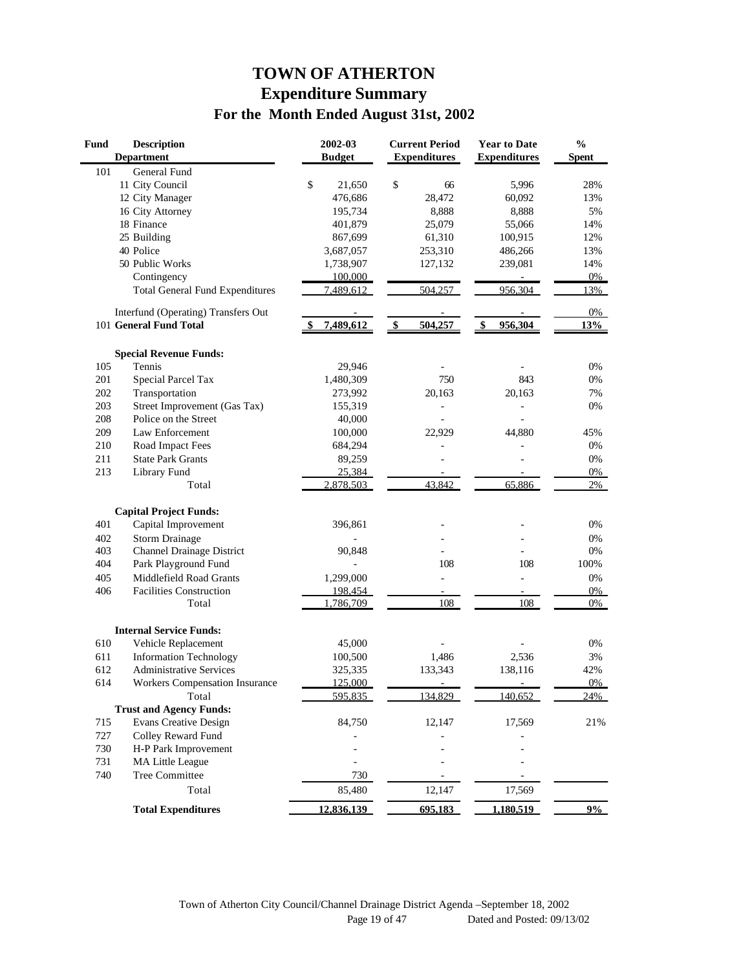# **TOWN OF ATHERTON Expenditure Summary For the Month Ended August 31st, 2002**

| Fund<br><b>Description</b><br><b>Department</b> |                                        | 2002-03<br><b>Budget</b> | <b>Current Period</b><br><b>Expenditures</b> | <b>Year to Date</b><br><b>Expenditures</b> | $\frac{0}{0}$<br><b>Spent</b> |
|-------------------------------------------------|----------------------------------------|--------------------------|----------------------------------------------|--------------------------------------------|-------------------------------|
| 101                                             | General Fund                           |                          |                                              |                                            |                               |
|                                                 | 11 City Council                        | \$<br>21,650             | \$<br>66                                     | 5,996                                      | 28%                           |
|                                                 | 12 City Manager                        | 476,686                  | 28,472                                       | 60,092                                     | 13%                           |
|                                                 | 16 City Attorney                       | 195,734                  | 8.888                                        | 8,888                                      | 5%                            |
|                                                 | 18 Finance                             | 401,879                  | 25,079                                       | 55,066                                     | 14%                           |
|                                                 | 25 Building                            | 867,699                  | 61,310                                       | 100,915                                    | 12%                           |
|                                                 | 40 Police                              | 3,687,057                | 253,310                                      | 486,266                                    | 13%                           |
|                                                 | 50 Public Works                        | 1,738,907                | 127,132                                      | 239,081                                    | 14%                           |
|                                                 | Contingency                            | 100,000                  |                                              |                                            | $0\%$                         |
|                                                 | <b>Total General Fund Expenditures</b> | 7,489,612                | 504,257                                      | 956,304                                    | 13%                           |
|                                                 | Interfund (Operating) Transfers Out    |                          |                                              |                                            | 0%                            |
|                                                 | 101 General Fund Total                 | 7,489,612                | \$<br>504,257                                | \$<br>956,304                              | 13%                           |
|                                                 | <b>Special Revenue Funds:</b>          |                          |                                              |                                            |                               |
| 105                                             | Tennis                                 | 29,946                   |                                              |                                            | 0%                            |
| 201                                             | Special Parcel Tax                     | 1,480,309                | 750                                          | 843                                        | 0%                            |
| 202                                             | Transportation                         | 273,992                  | 20,163                                       | 20,163                                     | 7%                            |
| 203                                             | Street Improvement (Gas Tax)           | 155,319                  |                                              |                                            | $0\%$                         |
| 208                                             | Police on the Street                   | 40,000                   |                                              |                                            |                               |
| 209                                             | Law Enforcement                        | 100,000                  | 22.929                                       | 44,880                                     | 45%                           |
| 210                                             | Road Impact Fees                       | 684,294                  |                                              |                                            | 0%                            |
| 211                                             | <b>State Park Grants</b>               | 89,259                   |                                              |                                            | 0%                            |
| 213                                             | Library Fund                           | 25,384                   |                                              |                                            | 0%                            |
|                                                 | Total                                  | 2,878,503                | 43,842                                       | 65,886                                     | 2%                            |
|                                                 | <b>Capital Project Funds:</b>          |                          |                                              |                                            |                               |
| 401                                             | Capital Improvement                    | 396,861                  |                                              |                                            | 0%                            |
| 402                                             | <b>Storm Drainage</b>                  |                          |                                              |                                            | 0%                            |
| 403                                             | <b>Channel Drainage District</b>       | 90,848                   |                                              |                                            | 0%                            |
| 404                                             | Park Playground Fund                   |                          | 108                                          | 108                                        | 100%                          |
| 405                                             | Middlefield Road Grants                | 1,299,000                | L,                                           | ÷,                                         | 0%                            |
| 406                                             | <b>Facilities Construction</b>         | 198,454                  | $\overline{\phantom{a}}$                     |                                            | 0%                            |
|                                                 | Total                                  | 1,786,709                | 108                                          | 108                                        | 0%                            |
|                                                 | <b>Internal Service Funds:</b>         |                          |                                              |                                            |                               |
| 610                                             | Vehicle Replacement                    | 45,000                   |                                              |                                            | 0%                            |
| 611                                             | <b>Information Technology</b>          | 100,500                  | 1,486                                        | 2,536                                      | 3%                            |
| 612                                             | <b>Administrative Services</b>         | 325,335                  | 133,343                                      | 138,116                                    | 42%                           |
| 614                                             | Workers Compensation Insurance         | 125,000                  |                                              | $\overline{\phantom{a}}$                   | 0%                            |
|                                                 | Total                                  | 595,835                  | 134,829                                      | 140,652                                    | 24%                           |
|                                                 | <b>Trust and Agency Funds:</b>         |                          |                                              |                                            |                               |
| 715                                             | <b>Evans Creative Design</b>           | 84,750                   | 12,147                                       | 17,569                                     | $21\%$                        |
| 727                                             | Colley Reward Fund                     |                          |                                              |                                            |                               |
| 730                                             | H-P Park Improvement                   |                          |                                              |                                            |                               |
| 731                                             | MA Little League                       |                          |                                              |                                            |                               |
| 740                                             | Tree Committee                         | 730                      |                                              |                                            |                               |
|                                                 | Total                                  | 85,480                   | 12,147                                       | 17,569                                     |                               |
|                                                 | <b>Total Expenditures</b>              | 12,836,139               | 695,183                                      | <u>1,180,519</u>                           | 9%                            |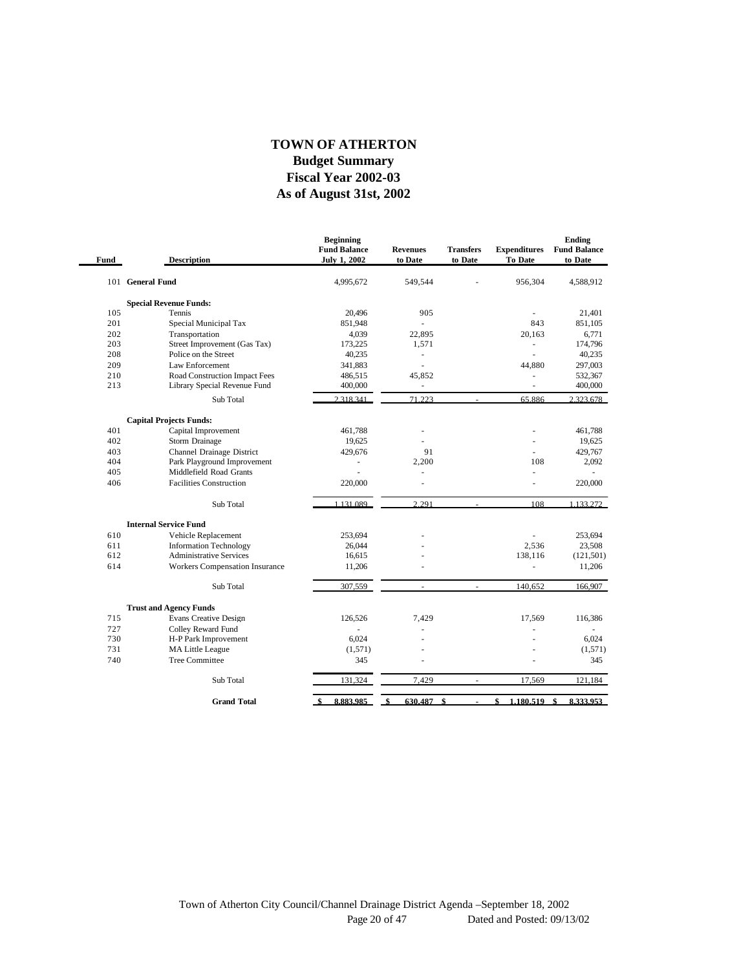#### **As of August 31st, 2002 Fiscal Year 2002-03 Budget Summary TOWN OF ATHERTON**

| Fund | <b>Description</b>             | <b>Beginning</b><br><b>Fund Balance</b><br><b>July 1, 2002</b> | <b>Revenues</b><br>to Date | <b>Transfers</b><br>to Date | <b>Expenditures</b><br>To Date | Ending<br><b>Fund Balance</b><br>to Date |
|------|--------------------------------|----------------------------------------------------------------|----------------------------|-----------------------------|--------------------------------|------------------------------------------|
|      | 101 General Fund               | 4,995,672                                                      | 549,544                    |                             | 956,304                        | 4,588,912                                |
|      | <b>Special Revenue Funds:</b>  |                                                                |                            |                             |                                |                                          |
| 105  | Tennis                         | 20,496                                                         | 905                        |                             | ÷,                             | 21,401                                   |
| 201  | Special Municipal Tax          | 851,948                                                        |                            |                             | 843                            | 851,105                                  |
| 202  | Transportation                 | 4,039                                                          | 22,895                     |                             | 20.163                         | 6,771                                    |
| 203  | Street Improvement (Gas Tax)   | 173,225                                                        | 1,571                      |                             | ÷,                             | 174,796                                  |
| 208  | Police on the Street           | 40,235                                                         |                            |                             |                                | 40,235                                   |
| 209  | Law Enforcement                | 341,883                                                        | ä,                         |                             | 44,880                         | 297,003                                  |
| 210  | Road Construction Impact Fees  | 486,515                                                        | 45,852                     |                             | $\sim$                         | 532,367                                  |
| 213  | Library Special Revenue Fund   | 400,000                                                        | ÷,                         |                             | ä,                             | 400,000                                  |
|      | Sub Total                      | 2.318.341                                                      | 71.223                     |                             | 65.886                         | 2.323.678                                |
|      | <b>Capital Projects Funds:</b> |                                                                |                            |                             |                                |                                          |
| 401  | Capital Improvement            | 461.788                                                        | ٠                          |                             | ä,                             | 461.788                                  |
| 402  | Storm Drainage                 | 19,625                                                         |                            |                             |                                | 19,625                                   |
| 403  | Channel Drainage District      | 429,676                                                        | 91                         |                             |                                | 429,767                                  |
| 404  | Park Playground Improvement    |                                                                | 2,200                      |                             | 108                            | 2,092                                    |
| 405  | Middlefield Road Grants        |                                                                |                            |                             | ä,                             |                                          |
| 406  | <b>Facilities Construction</b> | 220,000                                                        |                            |                             |                                | 220,000                                  |
|      | Sub Total                      | 1.131.089                                                      | 2.291                      |                             | 108                            | 1.133.272                                |
|      | <b>Internal Service Fund</b>   |                                                                |                            |                             |                                |                                          |
| 610  | Vehicle Replacement            | 253,694                                                        |                            |                             |                                | 253,694                                  |
| 611  | <b>Information Technology</b>  | 26,044                                                         |                            |                             | 2,536                          | 23,508                                   |
| 612  | <b>Administrative Services</b> | 16,615                                                         |                            |                             | 138,116                        | (121, 501)                               |
| 614  | Workers Compensation Insurance | 11,206                                                         |                            |                             | ä,                             | 11,206                                   |
|      | Sub Total                      | 307.559                                                        | $\overline{\phantom{a}}$   | $\sim$                      | 140,652                        | 166,907                                  |
|      | <b>Trust and Agency Funds</b>  |                                                                |                            |                             |                                |                                          |
| 715  | <b>Evans Creative Design</b>   | 126,526                                                        | 7,429                      |                             | 17,569                         | 116,386                                  |
| 727  | Colley Reward Fund             | ä,                                                             |                            |                             |                                | ×.                                       |
| 730  | H-P Park Improvement           | 6,024                                                          |                            |                             |                                | 6,024                                    |
| 731  | MA Little League               | (1,571)                                                        |                            |                             |                                | (1,571)                                  |
| 740  | <b>Tree Committee</b>          | 345                                                            |                            |                             |                                | 345                                      |
|      | Sub Total                      | 131,324                                                        | 7,429                      |                             | 17,569                         | 121,184                                  |
|      | <b>Grand Total</b>             | 8,883,985<br>-\$                                               | 630.487<br>\$              | \$                          | \$<br>1.180.519                | \$<br>8.333.953                          |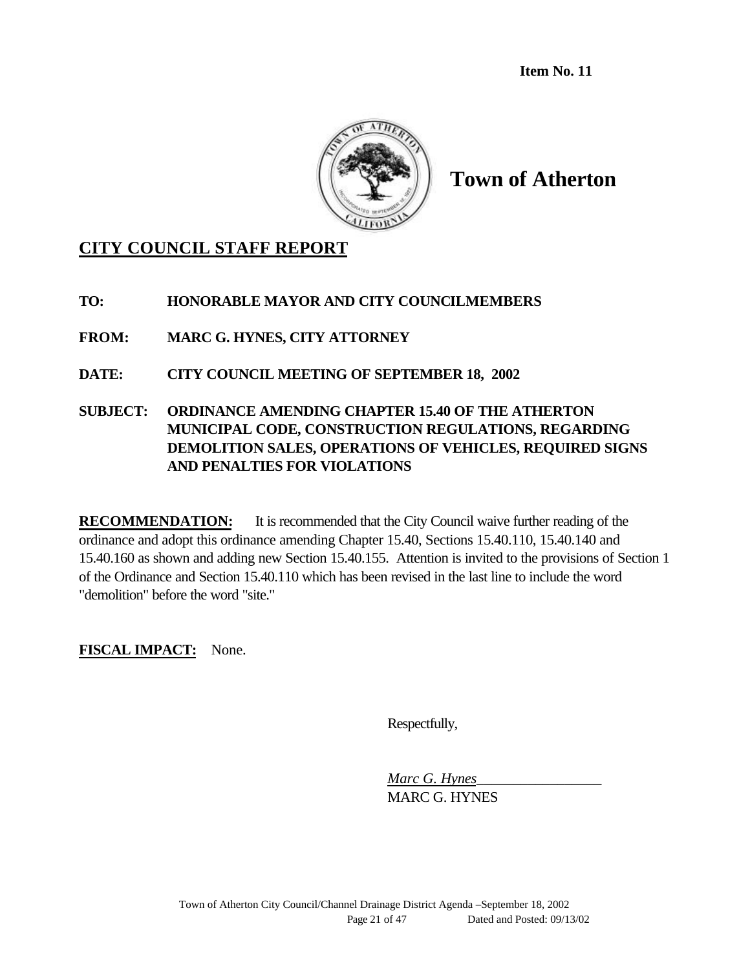**Item No. 11**



**Town of Atherton**

# **CITY COUNCIL STAFF REPORT**

**TO: HONORABLE MAYOR AND CITY COUNCILMEMBERS**

**FROM: MARC G. HYNES, CITY ATTORNEY**

**DATE: CITY COUNCIL MEETING OF SEPTEMBER 18, 2002**

**SUBJECT: ORDINANCE AMENDING CHAPTER 15.40 OF THE ATHERTON MUNICIPAL CODE, CONSTRUCTION REGULATIONS, REGARDING DEMOLITION SALES, OPERATIONS OF VEHICLES, REQUIRED SIGNS AND PENALTIES FOR VIOLATIONS**

**RECOMMENDATION:** It is recommended that the City Council waive further reading of the ordinance and adopt this ordinance amending Chapter 15.40, Sections 15.40.110, 15.40.140 and 15.40.160 as shown and adding new Section 15.40.155. Attention is invited to the provisions of Section 1 of the Ordinance and Section 15.40.110 which has been revised in the last line to include the word "demolition" before the word "site."

**FISCAL IMPACT:** None.

Respectfully,

*Marc G. Hynes*\_\_\_\_\_\_\_\_\_\_\_\_\_\_\_\_\_ MARC G. HYNES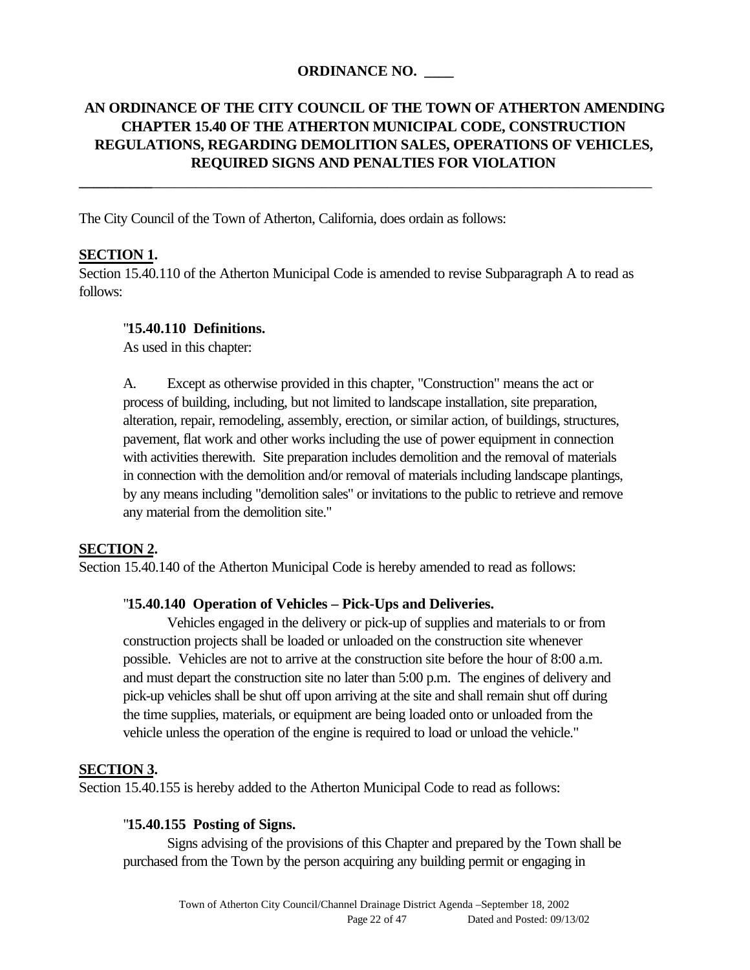#### **ORDINANCE NO. \_\_\_\_**

## **AN ORDINANCE OF THE CITY COUNCIL OF THE TOWN OF ATHERTON AMENDING CHAPTER 15.40 OF THE ATHERTON MUNICIPAL CODE, CONSTRUCTION REGULATIONS, REGARDING DEMOLITION SALES, OPERATIONS OF VEHICLES, REQUIRED SIGNS AND PENALTIES FOR VIOLATION**

**\_\_\_\_\_\_\_\_\_\_**\_\_\_\_\_\_\_\_\_\_\_\_\_\_\_\_\_\_\_\_\_\_\_\_\_\_\_\_\_\_\_\_\_\_\_\_\_\_\_\_\_\_\_\_\_\_\_\_\_\_\_\_\_\_\_\_\_\_\_\_\_\_\_\_\_\_\_\_

The City Council of the Town of Atherton, California, does ordain as follows:

#### **SECTION 1.**

Section 15.40.110 of the Atherton Municipal Code is amended to revise Subparagraph A to read as follows:

#### "**15.40.110 Definitions.**

As used in this chapter:

A. Except as otherwise provided in this chapter, "Construction" means the act or process of building, including, but not limited to landscape installation, site preparation, alteration, repair, remodeling, assembly, erection, or similar action, of buildings, structures, pavement, flat work and other works including the use of power equipment in connection with activities therewith. Site preparation includes demolition and the removal of materials in connection with the demolition and/or removal of materials including landscape plantings, by any means including "demolition sales" or invitations to the public to retrieve and remove any material from the demolition site."

#### **SECTION 2.**

Section 15.40.140 of the Atherton Municipal Code is hereby amended to read as follows:

#### "**15.40.140 Operation of Vehicles – Pick-Ups and Deliveries.**

Vehicles engaged in the delivery or pick-up of supplies and materials to or from construction projects shall be loaded or unloaded on the construction site whenever possible. Vehicles are not to arrive at the construction site before the hour of 8:00 a.m. and must depart the construction site no later than 5:00 p.m. The engines of delivery and pick-up vehicles shall be shut off upon arriving at the site and shall remain shut off during the time supplies, materials, or equipment are being loaded onto or unloaded from the vehicle unless the operation of the engine is required to load or unload the vehicle."

#### **SECTION 3.**

Section 15.40.155 is hereby added to the Atherton Municipal Code to read as follows:

#### "**15.40.155 Posting of Signs.**

Signs advising of the provisions of this Chapter and prepared by the Town shall be purchased from the Town by the person acquiring any building permit or engaging in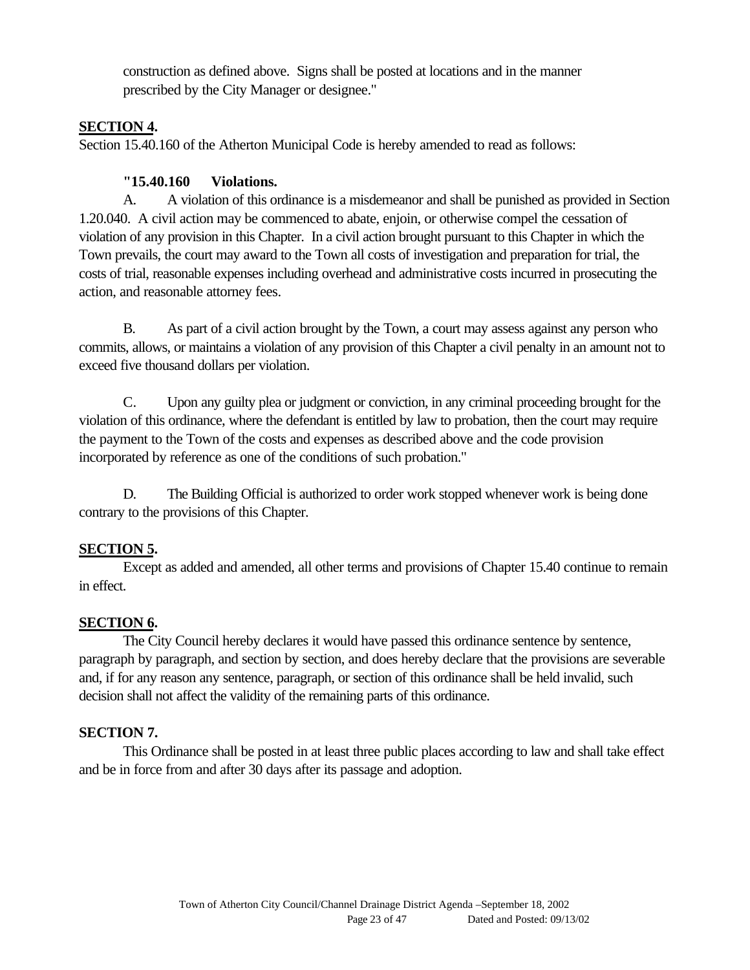construction as defined above. Signs shall be posted at locations and in the manner prescribed by the City Manager or designee."

#### **SECTION 4.**

Section 15.40.160 of the Atherton Municipal Code is hereby amended to read as follows:

## **"15.40.160 Violations.**

A. A violation of this ordinance is a misdemeanor and shall be punished as provided in Section 1.20.040. A civil action may be commenced to abate, enjoin, or otherwise compel the cessation of violation of any provision in this Chapter. In a civil action brought pursuant to this Chapter in which the Town prevails, the court may award to the Town all costs of investigation and preparation for trial, the costs of trial, reasonable expenses including overhead and administrative costs incurred in prosecuting the action, and reasonable attorney fees.

B. As part of a civil action brought by the Town, a court may assess against any person who commits, allows, or maintains a violation of any provision of this Chapter a civil penalty in an amount not to exceed five thousand dollars per violation.

C. Upon any guilty plea or judgment or conviction, in any criminal proceeding brought for the violation of this ordinance, where the defendant is entitled by law to probation, then the court may require the payment to the Town of the costs and expenses as described above and the code provision incorporated by reference as one of the conditions of such probation."

D. The Building Official is authorized to order work stopped whenever work is being done contrary to the provisions of this Chapter.

## **SECTION 5.**

Except as added and amended, all other terms and provisions of Chapter 15.40 continue to remain in effect.

## **SECTION 6.**

The City Council hereby declares it would have passed this ordinance sentence by sentence, paragraph by paragraph, and section by section, and does hereby declare that the provisions are severable and, if for any reason any sentence, paragraph, or section of this ordinance shall be held invalid, such decision shall not affect the validity of the remaining parts of this ordinance.

## **SECTION 7.**

This Ordinance shall be posted in at least three public places according to law and shall take effect and be in force from and after 30 days after its passage and adoption.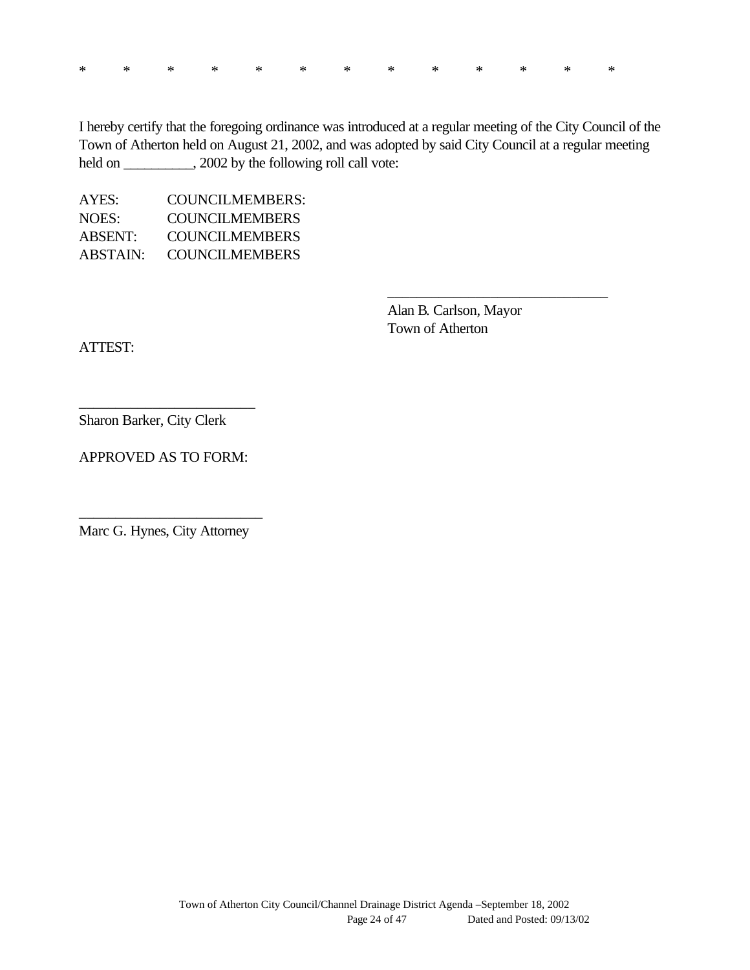|  |  |  |  |  | * * * * * * * * * * * * * |  |
|--|--|--|--|--|---------------------------|--|
|  |  |  |  |  |                           |  |

I hereby certify that the foregoing ordinance was introduced at a regular meeting of the City Council of the Town of Atherton held on August 21, 2002, and was adopted by said City Council at a regular meeting held on \_\_\_\_\_\_\_\_, 2002 by the following roll call vote:

AYES: COUNCILMEMBERS: NOES: COUNCILMEMBERS ABSENT: COUNCILMEMBERS ABSTAIN: COUNCILMEMBERS

> Alan B. Carlson, Mayor Town of Atherton

\_\_\_\_\_\_\_\_\_\_\_\_\_\_\_\_\_\_\_\_\_\_\_\_\_\_\_\_\_\_

ATTEST:

Sharon Barker, City Clerk

APPROVED AS TO FORM:

\_\_\_\_\_\_\_\_\_\_\_\_\_\_\_\_\_\_\_\_\_\_\_\_

\_\_\_\_\_\_\_\_\_\_\_\_\_\_\_\_\_\_\_\_\_\_\_\_\_ Marc G. Hynes, City Attorney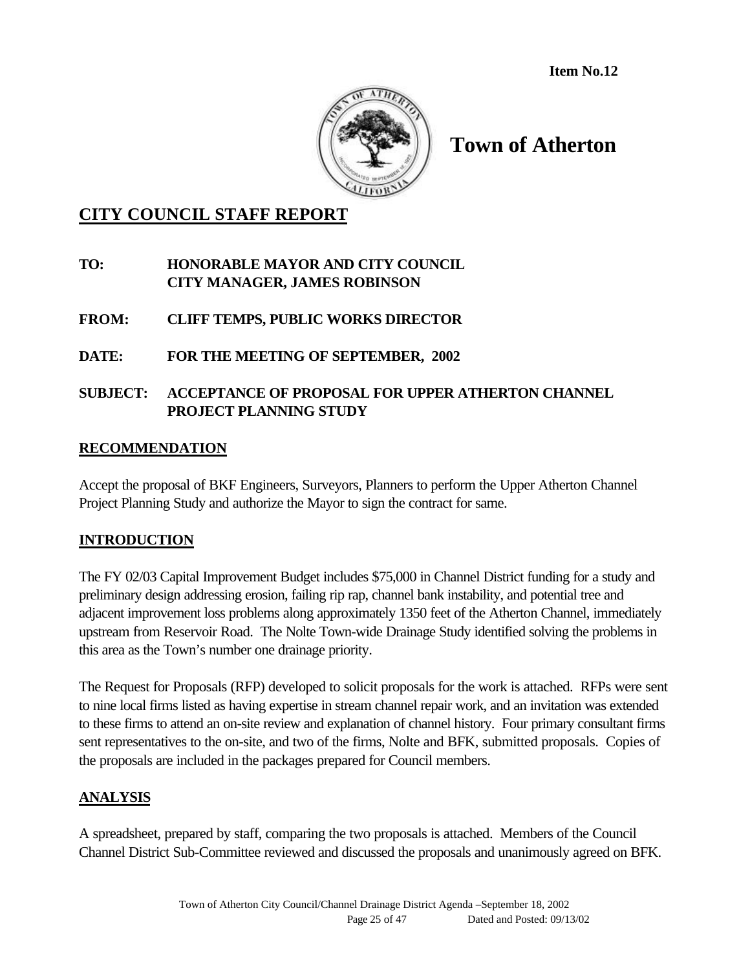**Item No.12**



# **Town of Atherton**

# **CITY COUNCIL STAFF REPORT**

## **TO: HONORABLE MAYOR AND CITY COUNCIL CITY MANAGER, JAMES ROBINSON**

- **FROM: CLIFF TEMPS, PUBLIC WORKS DIRECTOR**
- **DATE: FOR THE MEETING OF SEPTEMBER, 2002**

## **SUBJECT: ACCEPTANCE OF PROPOSAL FOR UPPER ATHERTON CHANNEL PROJECT PLANNING STUDY**

#### **RECOMMENDATION**

Accept the proposal of BKF Engineers, Surveyors, Planners to perform the Upper Atherton Channel Project Planning Study and authorize the Mayor to sign the contract for same.

#### **INTRODUCTION**

The FY 02/03 Capital Improvement Budget includes \$75,000 in Channel District funding for a study and preliminary design addressing erosion, failing rip rap, channel bank instability, and potential tree and adjacent improvement loss problems along approximately 1350 feet of the Atherton Channel, immediately upstream from Reservoir Road. The Nolte Town-wide Drainage Study identified solving the problems in this area as the Town's number one drainage priority.

The Request for Proposals (RFP) developed to solicit proposals for the work is attached. RFPs were sent to nine local firms listed as having expertise in stream channel repair work, and an invitation was extended to these firms to attend an on-site review and explanation of channel history. Four primary consultant firms sent representatives to the on-site, and two of the firms, Nolte and BFK, submitted proposals. Copies of the proposals are included in the packages prepared for Council members.

#### **ANALYSIS**

A spreadsheet, prepared by staff, comparing the two proposals is attached. Members of the Council Channel District Sub-Committee reviewed and discussed the proposals and unanimously agreed on BFK.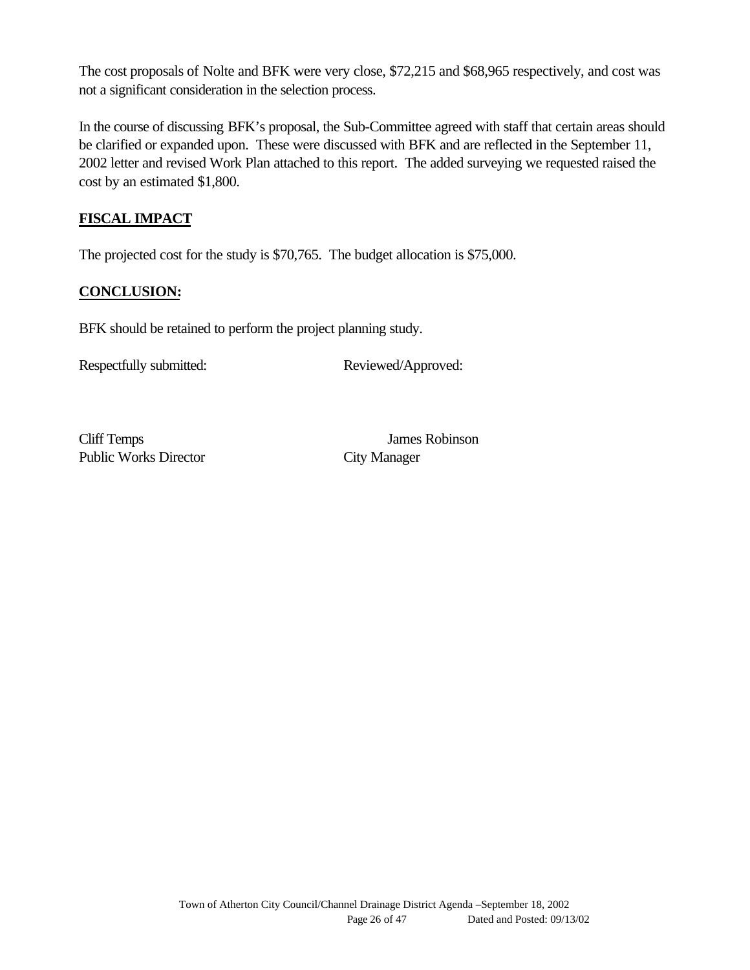The cost proposals of Nolte and BFK were very close, \$72,215 and \$68,965 respectively, and cost was not a significant consideration in the selection process.

In the course of discussing BFK's proposal, the Sub-Committee agreed with staff that certain areas should be clarified or expanded upon. These were discussed with BFK and are reflected in the September 11, 2002 letter and revised Work Plan attached to this report. The added surveying we requested raised the cost by an estimated \$1,800.

## **FISCAL IMPACT**

The projected cost for the study is \$70,765. The budget allocation is \$75,000.

#### **CONCLUSION:**

BFK should be retained to perform the project planning study.

Respectfully submitted: Reviewed/Approved:

Cliff Temps James Robinson Public Works Director City Manager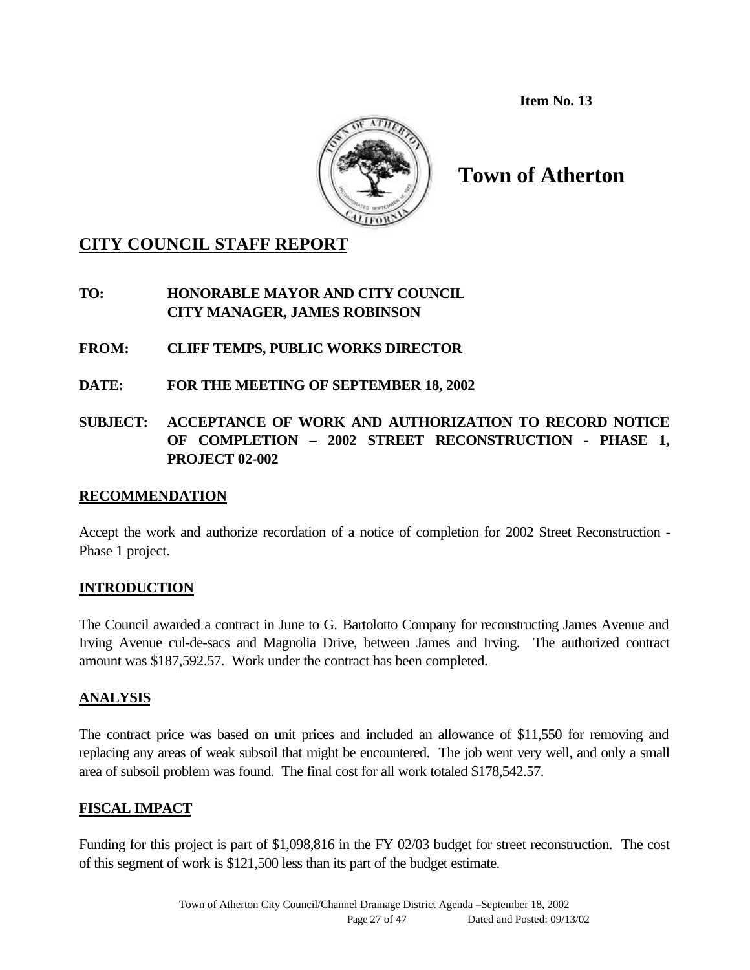**Item No. 13**



**Town of Atherton**

## **CITY COUNCIL STAFF REPORT**

**TO: HONORABLE MAYOR AND CITY COUNCIL CITY MANAGER, JAMES ROBINSON**

**FROM: CLIFF TEMPS, PUBLIC WORKS DIRECTOR**

- **DATE: FOR THE MEETING OF SEPTEMBER 18, 2002**
- **SUBJECT: ACCEPTANCE OF WORK AND AUTHORIZATION TO RECORD NOTICE OF COMPLETION – 2002 STREET RECONSTRUCTION - PHASE 1, PROJECT 02-002**

## **RECOMMENDATION**

Accept the work and authorize recordation of a notice of completion for 2002 Street Reconstruction - Phase 1 project.

## **INTRODUCTION**

The Council awarded a contract in June to G. Bartolotto Company for reconstructing James Avenue and Irving Avenue cul-de-sacs and Magnolia Drive, between James and Irving. The authorized contract amount was \$187,592.57. Work under the contract has been completed.

## **ANALYSIS**

The contract price was based on unit prices and included an allowance of \$11,550 for removing and replacing any areas of weak subsoil that might be encountered. The job went very well, and only a small area of subsoil problem was found. The final cost for all work totaled \$178,542.57.

## **FISCAL IMPACT**

Funding for this project is part of \$1,098,816 in the FY 02/03 budget for street reconstruction. The cost of this segment of work is \$121,500 less than its part of the budget estimate.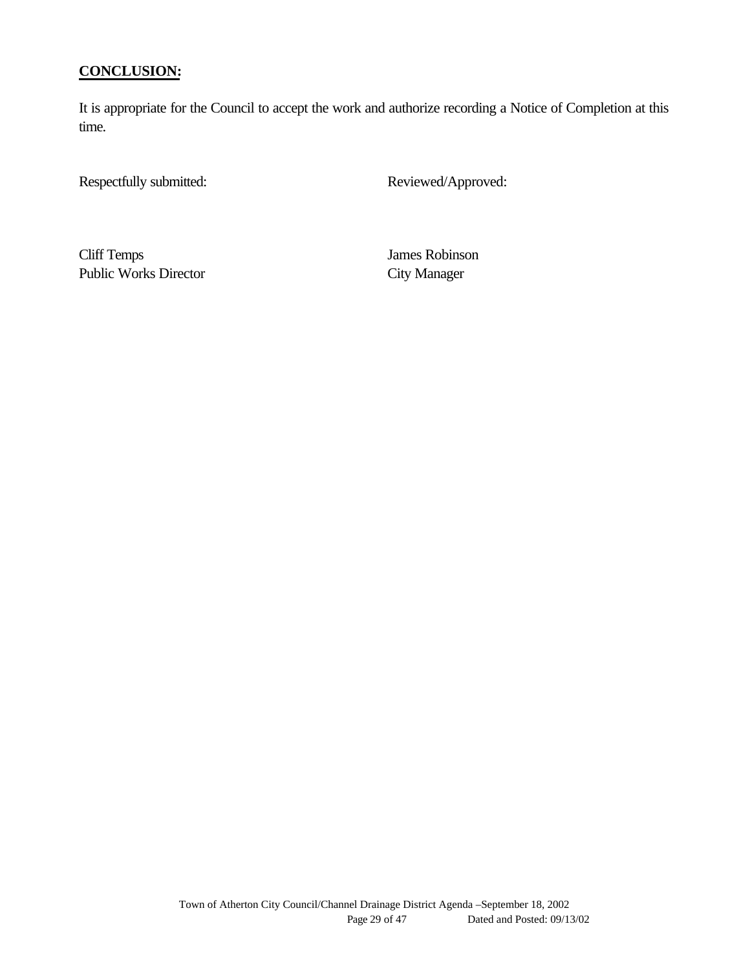#### **CONCLUSION:**

It is appropriate for the Council to accept the work and authorize recording a Notice of Completion at this time.

Respectfully submitted: Reviewed/Approved:

Cliff Temps James Robinson Public Works Director City Manager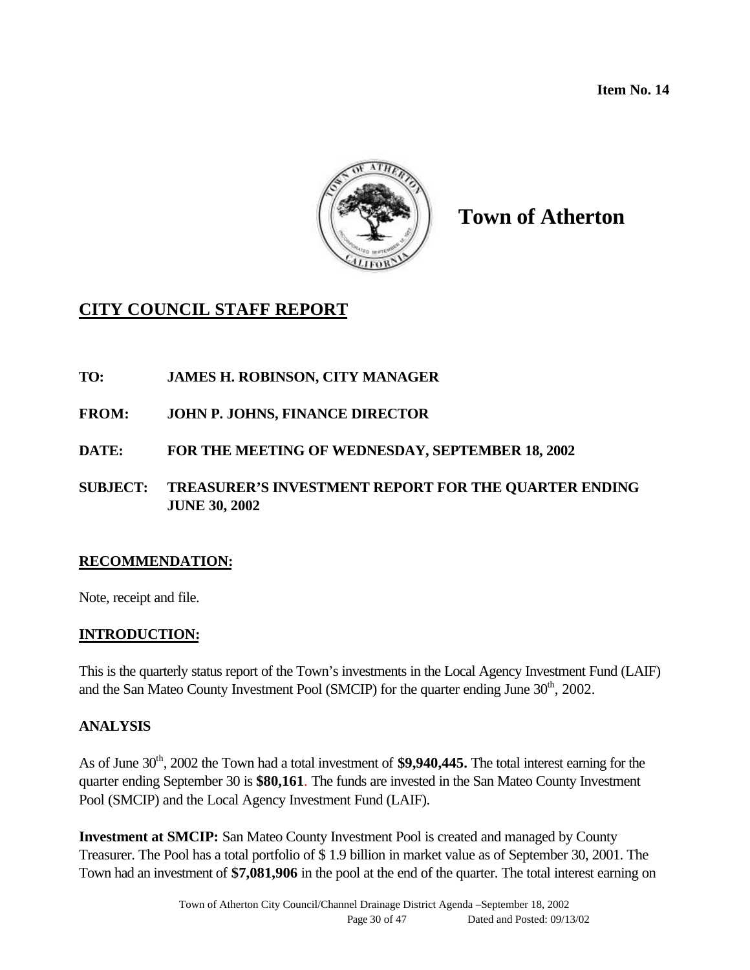**Item No. 14**



# **Town of Atherton**

# **CITY COUNCIL STAFF REPORT**

#### **TO: JAMES H. ROBINSON, CITY MANAGER**

- **FROM: JOHN P. JOHNS, FINANCE DIRECTOR**
- **DATE: FOR THE MEETING OF WEDNESDAY, SEPTEMBER 18, 2002**
- **SUBJECT: TREASURER'S INVESTMENT REPORT FOR THE QUARTER ENDING JUNE 30, 2002**

#### **RECOMMENDATION:**

Note, receipt and file.

#### **INTRODUCTION:**

This is the quarterly status report of the Town's investments in the Local Agency Investment Fund (LAIF) and the San Mateo County Investment Pool (SMCIP) for the quarter ending June 30<sup>th</sup>, 2002.

#### **ANALYSIS**

As of June 30<sup>th</sup>, 2002 the Town had a total investment of **\$9,940,445.** The total interest earning for the quarter ending September 30 is **\$80,161**. The funds are invested in the San Mateo County Investment Pool (SMCIP) and the Local Agency Investment Fund (LAIF).

**Investment at SMCIP:** San Mateo County Investment Pool is created and managed by County Treasurer. The Pool has a total portfolio of \$ 1.9 billion in market value as of September 30, 2001. The Town had an investment of **\$7,081,906** in the pool at the end of the quarter. The total interest earning on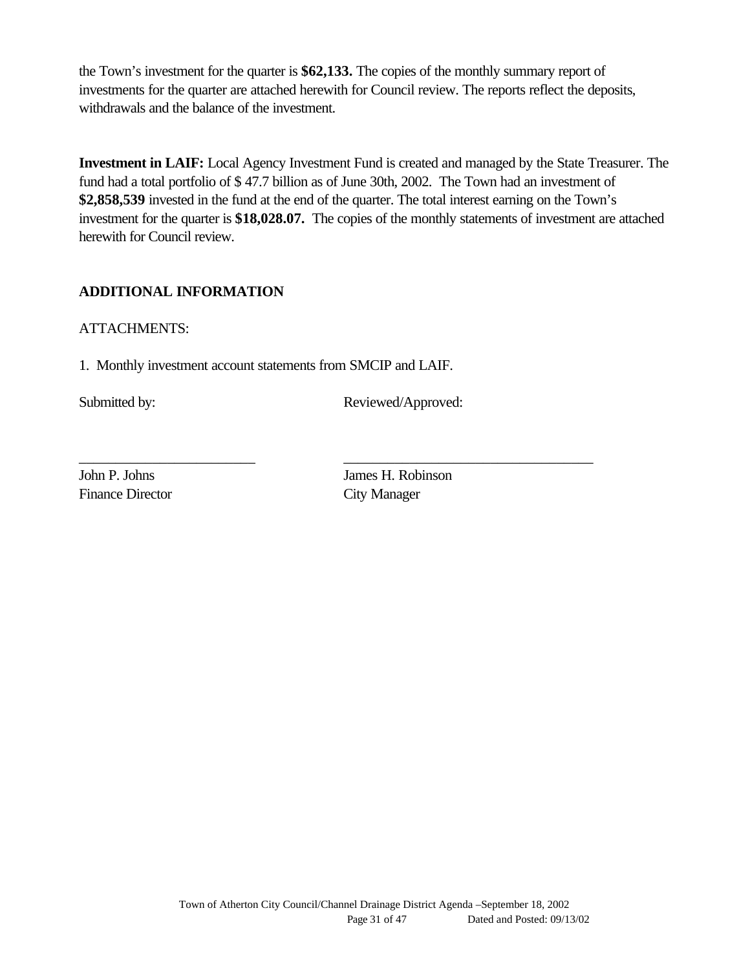the Town's investment for the quarter is **\$62,133.** The copies of the monthly summary report of investments for the quarter are attached herewith for Council review. The reports reflect the deposits, withdrawals and the balance of the investment.

**Investment in LAIF:** Local Agency Investment Fund is created and managed by the State Treasurer. The fund had a total portfolio of \$ 47.7 billion as of June 30th, 2002. The Town had an investment of **\$2,858,539** invested in the fund at the end of the quarter. The total interest earning on the Town's investment for the quarter is **\$18,028.07.** The copies of the monthly statements of investment are attached herewith for Council review.

#### **ADDITIONAL INFORMATION**

#### ATTACHMENTS:

1. Monthly investment account statements from SMCIP and LAIF.

Submitted by: Reviewed/Approved:

Finance Director City Manager

John P. Johns James H. Robinson

\_\_\_\_\_\_\_\_\_\_\_\_\_\_\_\_\_\_\_\_\_\_\_\_ \_\_\_\_\_\_\_\_\_\_\_\_\_\_\_\_\_\_\_\_\_\_\_\_\_\_\_\_\_\_\_\_\_\_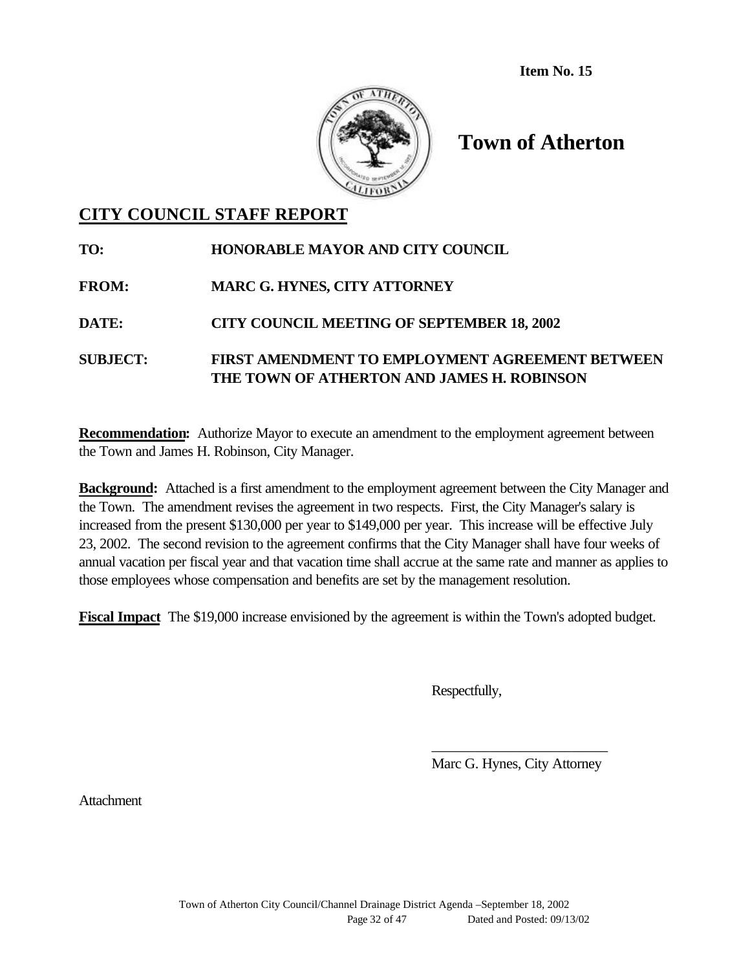**Item No. 15**



# **Town of Atherton**

## **CITY COUNCIL STAFF REPORT**

| TO:             | <b>HONORABLE MAYOR AND CITY COUNCIL</b>                                                              |
|-----------------|------------------------------------------------------------------------------------------------------|
| <b>FROM:</b>    | <b>MARC G. HYNES, CITY ATTORNEY</b>                                                                  |
| <b>DATE:</b>    | <b>CITY COUNCIL MEETING OF SEPTEMBER 18, 2002</b>                                                    |
| <b>SUBJECT:</b> | <b>FIRST AMENDMENT TO EMPLOYMENT AGREEMENT BETWEEN</b><br>THE TOWN OF ATHERTON AND JAMES H. ROBINSON |

**Recommendation:** Authorize Mayor to execute an amendment to the employment agreement between the Town and James H. Robinson, City Manager.

**Background:** Attached is a first amendment to the employment agreement between the City Manager and the Town. The amendment revises the agreement in two respects. First, the City Manager's salary is increased from the present \$130,000 per year to \$149,000 per year. This increase will be effective July 23, 2002. The second revision to the agreement confirms that the City Manager shall have four weeks of annual vacation per fiscal year and that vacation time shall accrue at the same rate and manner as applies to those employees whose compensation and benefits are set by the management resolution.

**Fiscal Impact** The \$19,000 increase envisioned by the agreement is within the Town's adopted budget.

Respectfully,

*\_\_\_\_\_\_\_\_\_\_\_\_\_\_\_\_\_\_\_\_\_\_\_\_* Marc G. Hynes, City Attorney

**Attachment**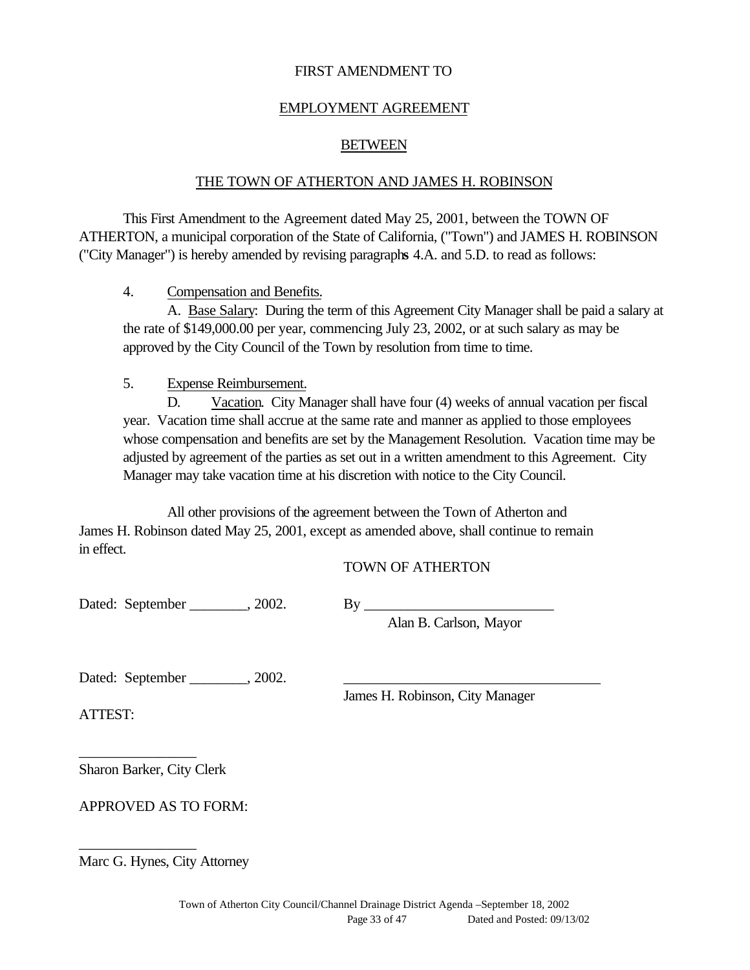#### FIRST AMENDMENT TO

#### EMPLOYMENT AGREEMENT

#### BETWEEN

#### THE TOWN OF ATHERTON AND JAMES H. ROBINSON

This First Amendment to the Agreement dated May 25, 2001, between the TOWN OF ATHERTON, a municipal corporation of the State of California, ("Town") and JAMES H. ROBINSON ("City Manager") is hereby amended by revising paragraph**s** 4.A. and 5.D. to read as follows:

#### 4. Compensation and Benefits.

A. Base Salary: During the term of this Agreement City Manager shall be paid a salary at the rate of \$149,000.00 per year, commencing July 23, 2002, or at such salary as may be approved by the City Council of the Town by resolution from time to time.

#### 5. Expense Reimbursement.

D. Vacation. City Manager shall have four (4) weeks of annual vacation per fiscal year. Vacation time shall accrue at the same rate and manner as applied to those employees whose compensation and benefits are set by the Management Resolution. Vacation time may be adjusted by agreement of the parties as set out in a written amendment to this Agreement. City Manager may take vacation time at his discretion with notice to the City Council.

All other provisions of the agreement between the Town of Atherton and James H. Robinson dated May 25, 2001, except as amended above, shall continue to remain in effect.

#### TOWN OF ATHERTON

Dated: September \_\_\_\_\_\_\_\_, 2002. By \_\_\_\_\_\_\_\_\_\_\_\_\_\_\_\_\_\_\_\_\_\_\_\_\_\_

Alan B. Carlson, Mayor

Dated: September \_\_\_\_\_\_\_\_, 2002. \_\_\_\_\_\_\_\_\_\_\_\_\_\_\_\_\_\_\_\_\_\_\_\_\_\_\_\_\_\_\_\_\_\_\_

James H. Robinson, City Manager

ATTEST:

Sharon Barker, City Clerk

\_\_\_\_\_\_\_\_\_\_\_\_\_\_\_\_

\_\_\_\_\_\_\_\_\_\_\_\_\_\_\_\_

APPROVED AS TO FORM:

Marc G. Hynes, City Attorney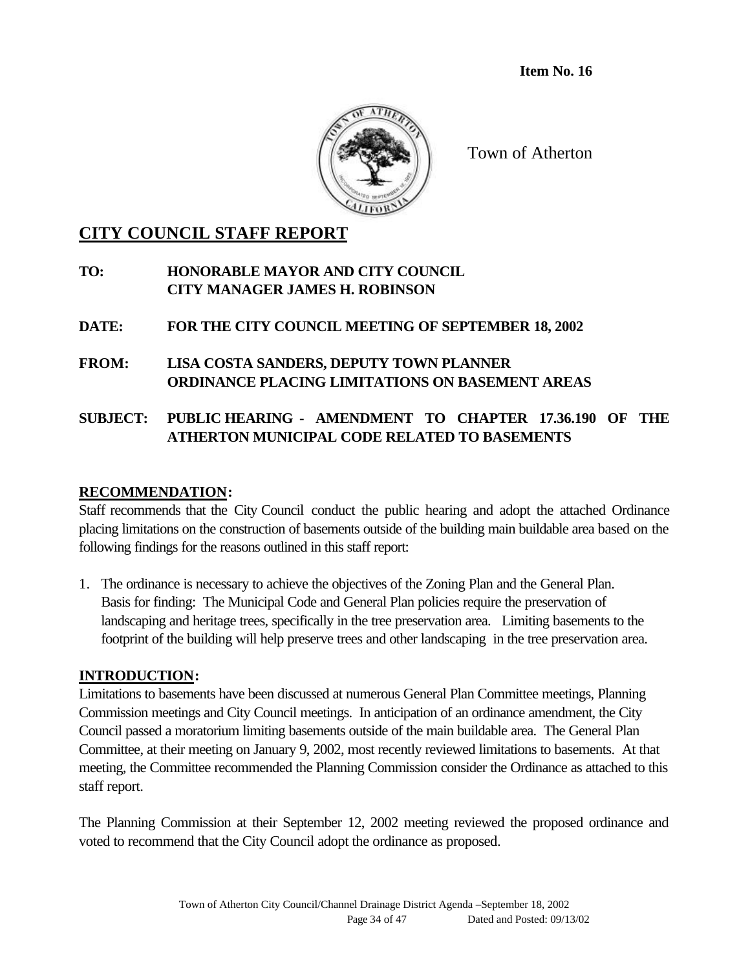**Item No. 16**



Town of Atherton

## **CITY COUNCIL STAFF REPORT**

- **TO: HONORABLE MAYOR AND CITY COUNCIL CITY MANAGER JAMES H. ROBINSON**
- **DATE: FOR THE CITY COUNCIL MEETING OF SEPTEMBER 18, 2002**
- **FROM: LISA COSTA SANDERS, DEPUTY TOWN PLANNER ORDINANCE PLACING LIMITATIONS ON BASEMENT AREAS**

## **SUBJECT: PUBLIC HEARING - AMENDMENT TO CHAPTER 17.36.190 OF THE ATHERTON MUNICIPAL CODE RELATED TO BASEMENTS**

#### **RECOMMENDATION:**

Staff recommends that the City Council conduct the public hearing and adopt the attached Ordinance placing limitations on the construction of basements outside of the building main buildable area based on the following findings for the reasons outlined in this staff report:

1. The ordinance is necessary to achieve the objectives of the Zoning Plan and the General Plan. Basis for finding: The Municipal Code and General Plan policies require the preservation of landscaping and heritage trees, specifically in the tree preservation area. Limiting basements to the footprint of the building will help preserve trees and other landscaping in the tree preservation area.

#### **INTRODUCTION:**

Limitations to basements have been discussed at numerous General Plan Committee meetings, Planning Commission meetings and City Council meetings. In anticipation of an ordinance amendment, the City Council passed a moratorium limiting basements outside of the main buildable area. The General Plan Committee, at their meeting on January 9, 2002, most recently reviewed limitations to basements. At that meeting, the Committee recommended the Planning Commission consider the Ordinance as attached to this staff report.

The Planning Commission at their September 12, 2002 meeting reviewed the proposed ordinance and voted to recommend that the City Council adopt the ordinance as proposed.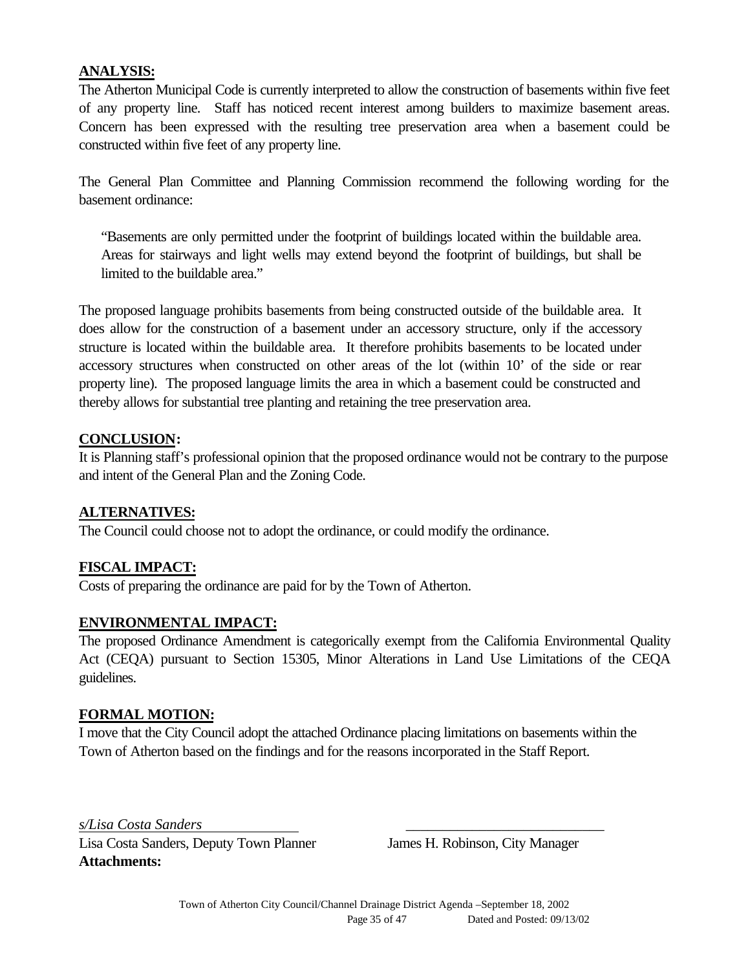#### **ANALYSIS:**

The Atherton Municipal Code is currently interpreted to allow the construction of basements within five feet of any property line. Staff has noticed recent interest among builders to maximize basement areas. Concern has been expressed with the resulting tree preservation area when a basement could be constructed within five feet of any property line.

The General Plan Committee and Planning Commission recommend the following wording for the basement ordinance:

"Basements are only permitted under the footprint of buildings located within the buildable area. Areas for stairways and light wells may extend beyond the footprint of buildings, but shall be limited to the buildable area."

The proposed language prohibits basements from being constructed outside of the buildable area. It does allow for the construction of a basement under an accessory structure, only if the accessory structure is located within the buildable area. It therefore prohibits basements to be located under accessory structures when constructed on other areas of the lot (within 10' of the side or rear property line). The proposed language limits the area in which a basement could be constructed and thereby allows for substantial tree planting and retaining the tree preservation area.

#### **CONCLUSION:**

It is Planning staff's professional opinion that the proposed ordinance would not be contrary to the purpose and intent of the General Plan and the Zoning Code.

#### **ALTERNATIVES:**

The Council could choose not to adopt the ordinance, or could modify the ordinance.

## **FISCAL IMPACT:**

Costs of preparing the ordinance are paid for by the Town of Atherton.

#### **ENVIRONMENTAL IMPACT:**

The proposed Ordinance Amendment is categorically exempt from the California Environmental Quality Act (CEQA) pursuant to Section 15305, Minor Alterations in Land Use Limitations of the CEQA guidelines.

#### **FORMAL MOTION:**

I move that the City Council adopt the attached Ordinance placing limitations on basements within the Town of Atherton based on the findings and for the reasons incorporated in the Staff Report.

*s/Lisa Costa Sanders* \_\_\_\_\_\_\_\_\_\_\_\_\_\_\_\_\_\_\_\_\_\_\_\_\_\_\_

Lisa Costa Sanders, Deputy Town Planner James H. Robinson, City Manager **Attachments:**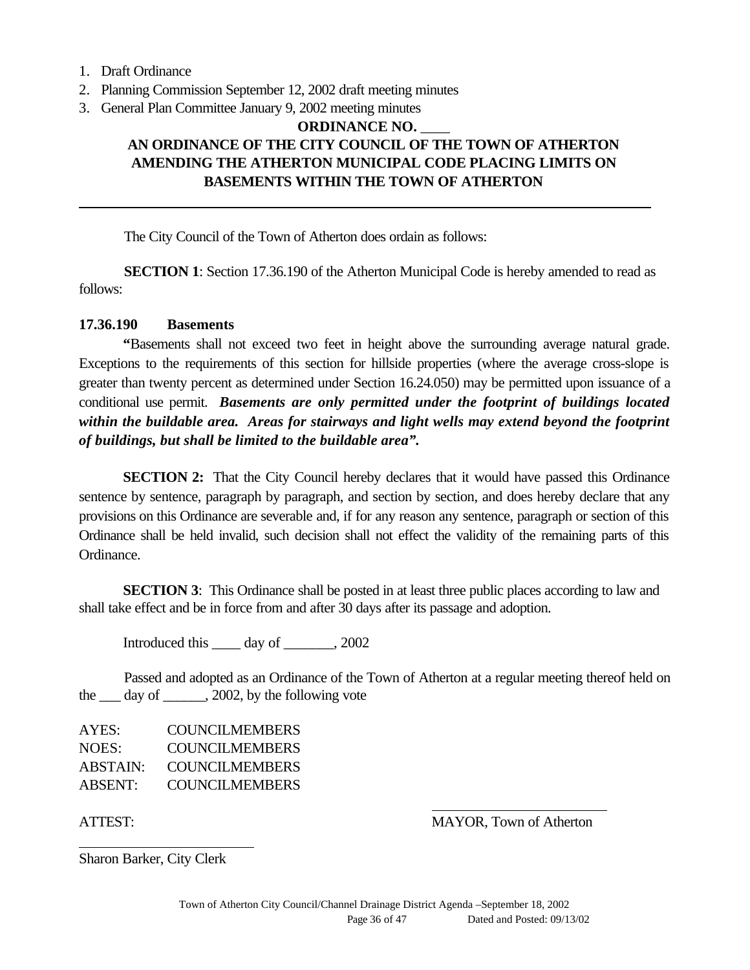1. Draft Ordinance

- 2. Planning Commission September 12, 2002 draft meeting minutes
- 3. General Plan Committee January 9, 2002 meeting minutes

#### **ORDINANCE NO.** \_\_\_\_ **AN ORDINANCE OF THE CITY COUNCIL OF THE TOWN OF ATHERTON AMENDING THE ATHERTON MUNICIPAL CODE PLACING LIMITS ON BASEMENTS WITHIN THE TOWN OF ATHERTON**

The City Council of the Town of Atherton does ordain as follows:

**SECTION 1**: Section 17.36.190 of the Atherton Municipal Code is hereby amended to read as follows:

#### **17.36.190 Basements**

**"**Basements shall not exceed two feet in height above the surrounding average natural grade. Exceptions to the requirements of this section for hillside properties (where the average cross-slope is greater than twenty percent as determined under Section 16.24.050) may be permitted upon issuance of a conditional use permit. *Basements are only permitted under the footprint of buildings located within the buildable area. Areas for stairways and light wells may extend beyond the footprint of buildings, but shall be limited to the buildable area".*

**SECTION 2:** That the City Council hereby declares that it would have passed this Ordinance sentence by sentence, paragraph by paragraph, and section by section, and does hereby declare that any provisions on this Ordinance are severable and, if for any reason any sentence, paragraph or section of this Ordinance shall be held invalid, such decision shall not effect the validity of the remaining parts of this Ordinance.

**SECTION 3**: This Ordinance shall be posted in at least three public places according to law and shall take effect and be in force from and after 30 days after its passage and adoption.

Introduced this day of  $\qquad \qquad , 2002$ 

Passed and adopted as an Ordinance of the Town of Atherton at a regular meeting thereof held on the  $\frac{day}{dx}$  day of  $\frac{2002}{x}$ , by the following vote

AYES: COUNCILMEMBERS NOES: COUNCILMEMBERS ABSTAIN: COUNCILMEMBERS ABSENT: COUNCILMEMBERS

 $\overline{a}$ 

ATTEST: MAYOR, Town of Atherton

Sharon Barker, City Clerk

 $\overline{a}$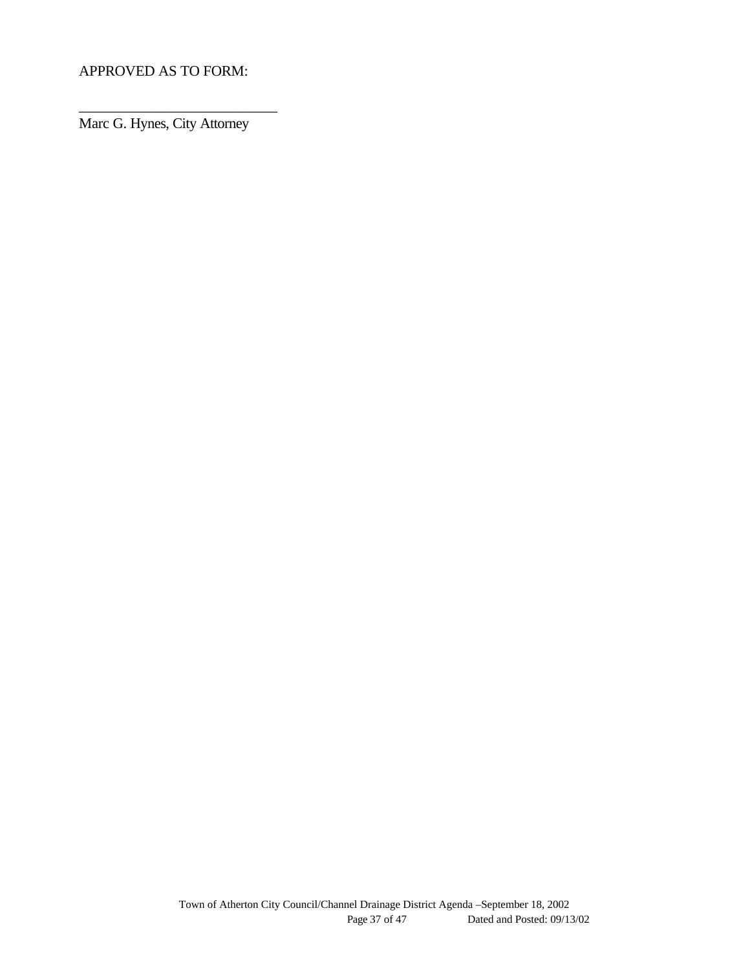APPROVED AS TO FORM:

Marc G. Hynes, City Attorney

\_\_\_\_\_\_\_\_\_\_\_\_\_\_\_\_\_\_\_\_\_\_\_\_\_\_\_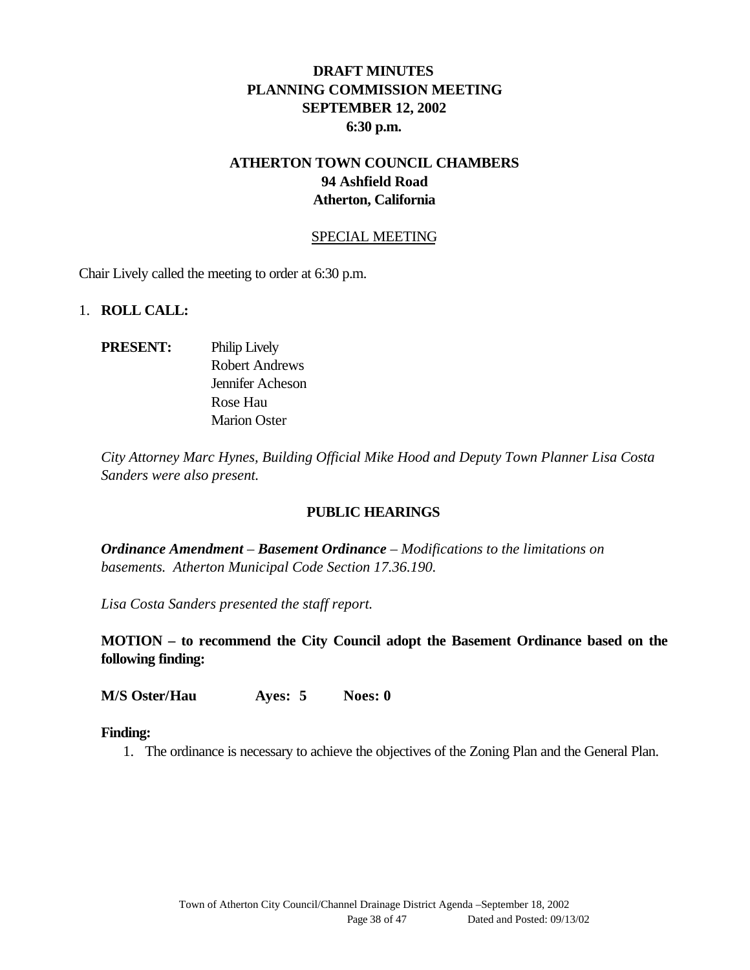## **DRAFT MINUTES PLANNING COMMISSION MEETING SEPTEMBER 12, 2002 6:30 p.m.**

#### **ATHERTON TOWN COUNCIL CHAMBERS 94 Ashfield Road Atherton, California**

#### SPECIAL MEETING

Chair Lively called the meeting to order at 6:30 p.m.

#### 1. **ROLL CALL:**

**PRESENT:** Philip Lively Robert Andrews Jennifer Acheson Rose Hau Marion Oster

*City Attorney Marc Hynes, Building Official Mike Hood and Deputy Town Planner Lisa Costa Sanders were also present.*

#### **PUBLIC HEARINGS**

*Ordinance Amendment – Basement Ordinance – Modifications to the limitations on basements. Atherton Municipal Code Section 17.36.190.*

*Lisa Costa Sanders presented the staff report.*

**MOTION – to recommend the City Council adopt the Basement Ordinance based on the following finding:**

**M/S Oster/Hau Ayes: 5 Noes: 0**

#### **Finding:**

1. The ordinance is necessary to achieve the objectives of the Zoning Plan and the General Plan.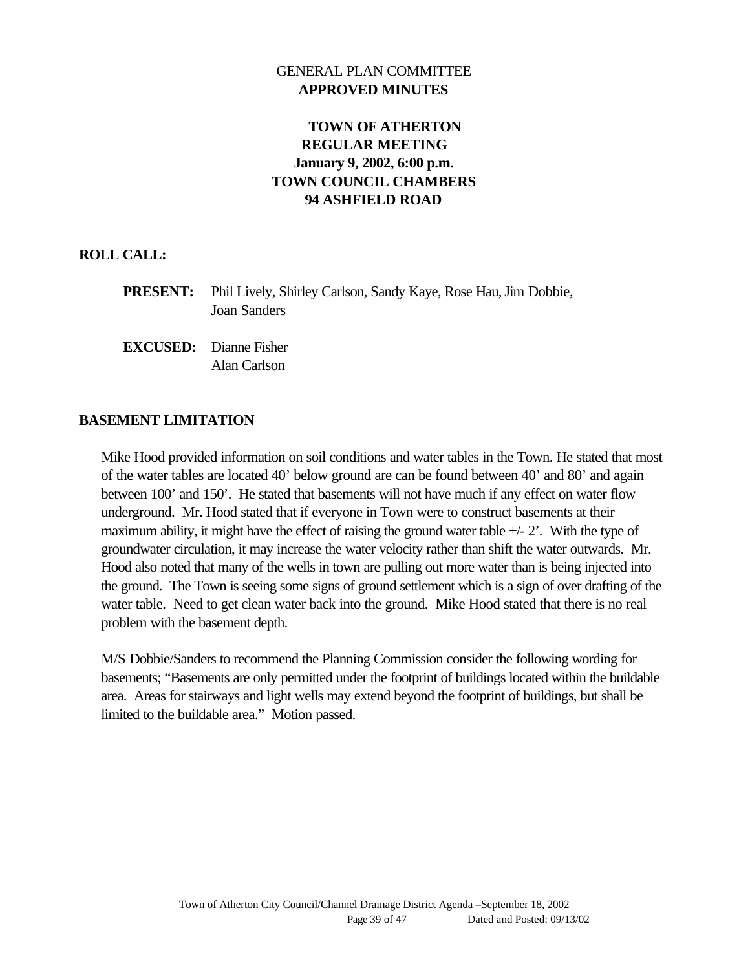#### GENERAL PLAN COMMITTEE **APPROVED MINUTES**

## **TOWN OF ATHERTON REGULAR MEETING January 9, 2002, 6:00 p.m. TOWN COUNCIL CHAMBERS 94 ASHFIELD ROAD**

#### **ROLL CALL:**

| <b>PRESENT:</b> Phil Lively, Shirley Carlson, Sandy Kaye, Rose Hau, Jim Dobbie, |
|---------------------------------------------------------------------------------|
| Joan Sanders                                                                    |

**EXCUSED:** Dianne Fisher Alan Carlson

#### **BASEMENT LIMITATION**

Mike Hood provided information on soil conditions and water tables in the Town. He stated that most of the water tables are located 40' below ground are can be found between 40' and 80' and again between 100' and 150'. He stated that basements will not have much if any effect on water flow underground. Mr. Hood stated that if everyone in Town were to construct basements at their maximum ability, it might have the effect of raising the ground water table  $+/- 2$ . With the type of groundwater circulation, it may increase the water velocity rather than shift the water outwards. Mr. Hood also noted that many of the wells in town are pulling out more water than is being injected into the ground. The Town is seeing some signs of ground settlement which is a sign of over drafting of the water table. Need to get clean water back into the ground. Mike Hood stated that there is no real problem with the basement depth.

M/S Dobbie/Sanders to recommend the Planning Commission consider the following wording for basements; "Basements are only permitted under the footprint of buildings located within the buildable area. Areas for stairways and light wells may extend beyond the footprint of buildings, but shall be limited to the buildable area." Motion passed.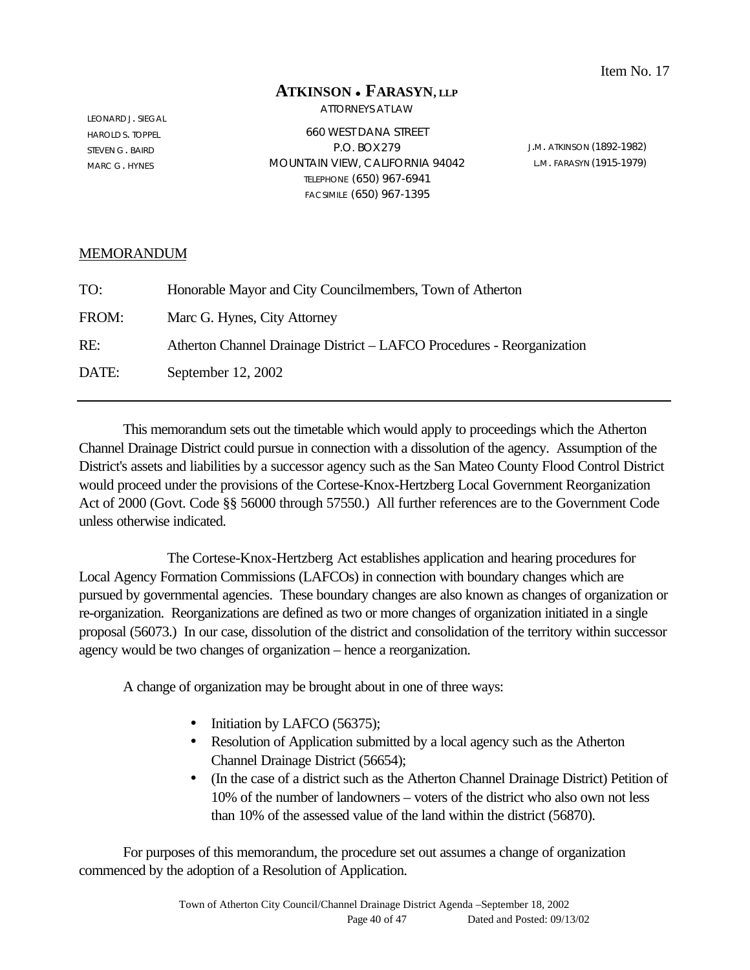#### **ATKINSON** <sup>l</sup> **FARASYN, LLP**

ATTORNEYS AT LAW

LEONARD J. SIEGAL HAROLD S. TOPPEL STEVEN G. BAIRD MARC G. HYNES

660 WEST DANA STREET P.O. BOX279 MOUNTAIN VIEW, CALIFORNIA 94042 TELEPHONE (650) 967-6941 FACSIMILE (650) 967-1395

J.M. ATKINSON (1892-1982) L.M. FARASYN (1915-1979)

#### MEMORANDUM

| TO:   | Honorable Mayor and City Councilmembers, Town of Atherton              |
|-------|------------------------------------------------------------------------|
| FROM: | Marc G. Hynes, City Attorney                                           |
| RE:   | Atherton Channel Drainage District – LAFCO Procedures - Reorganization |
| DATE: | September 12, 2002                                                     |

This memorandum sets out the timetable which would apply to proceedings which the Atherton Channel Drainage District could pursue in connection with a dissolution of the agency. Assumption of the District's assets and liabilities by a successor agency such as the San Mateo County Flood Control District would proceed under the provisions of the Cortese-Knox-Hertzberg Local Government Reorganization Act of 2000 (Govt. Code §§ 56000 through 57550.) All further references are to the Government Code unless otherwise indicated.

The Cortese-Knox-Hertzberg Act establishes application and hearing procedures for Local Agency Formation Commissions (LAFCOs) in connection with boundary changes which are pursued by governmental agencies. These boundary changes are also known as changes of organization or re-organization. Reorganizations are defined as two or more changes of organization initiated in a single proposal (56073.) In our case, dissolution of the district and consolidation of the territory within successor agency would be two changes of organization – hence a reorganization.

A change of organization may be brought about in one of three ways:

- Initiation by LAFCO (56375);
- Resolution of Application submitted by a local agency such as the Atherton Channel Drainage District (56654);
- (In the case of a district such as the Atherton Channel Drainage District) Petition of 10% of the number of landowners – voters of the district who also own not less than 10% of the assessed value of the land within the district (56870).

For purposes of this memorandum, the procedure set out assumes a change of organization commenced by the adoption of a Resolution of Application.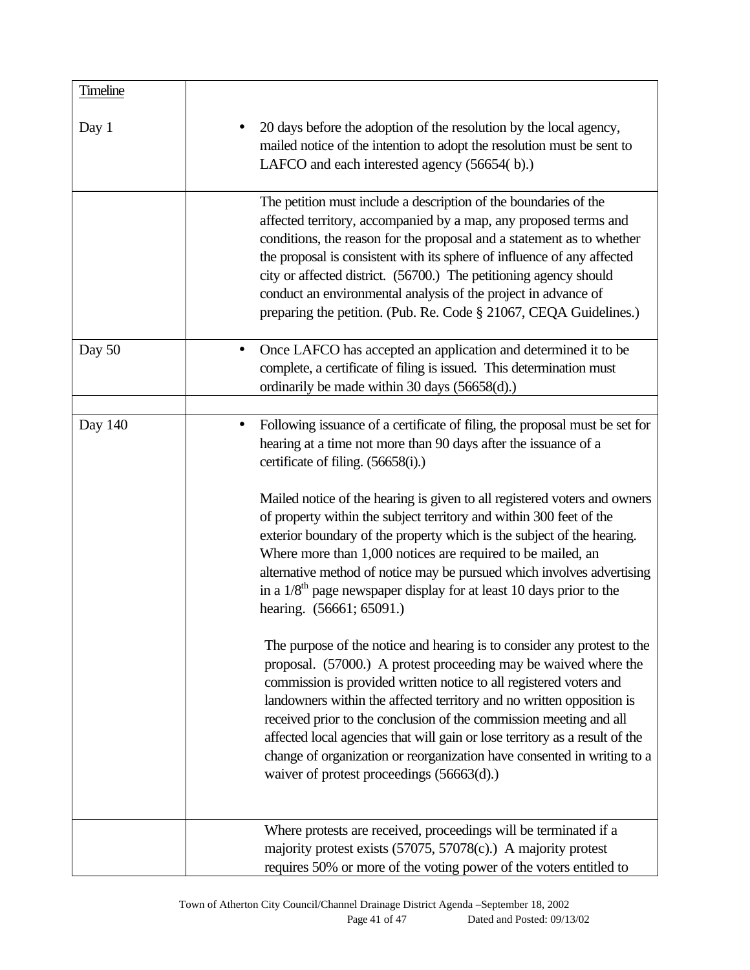| <b>Timeline</b> |                                                                                                                                                                                                                                                                                                                                                                                                                                                                                                                                                                                                                                                                                                                                                                                                                                                                                                                                                                                                                                                                                                                                                                                                                                                                     |
|-----------------|---------------------------------------------------------------------------------------------------------------------------------------------------------------------------------------------------------------------------------------------------------------------------------------------------------------------------------------------------------------------------------------------------------------------------------------------------------------------------------------------------------------------------------------------------------------------------------------------------------------------------------------------------------------------------------------------------------------------------------------------------------------------------------------------------------------------------------------------------------------------------------------------------------------------------------------------------------------------------------------------------------------------------------------------------------------------------------------------------------------------------------------------------------------------------------------------------------------------------------------------------------------------|
| Day 1           | 20 days before the adoption of the resolution by the local agency,<br>mailed notice of the intention to adopt the resolution must be sent to<br>LAFCO and each interested agency (56654(b).)                                                                                                                                                                                                                                                                                                                                                                                                                                                                                                                                                                                                                                                                                                                                                                                                                                                                                                                                                                                                                                                                        |
|                 | The petition must include a description of the boundaries of the<br>affected territory, accompanied by a map, any proposed terms and<br>conditions, the reason for the proposal and a statement as to whether<br>the proposal is consistent with its sphere of influence of any affected<br>city or affected district. (56700.) The petitioning agency should<br>conduct an environmental analysis of the project in advance of<br>preparing the petition. (Pub. Re. Code § 21067, CEQA Guidelines.)                                                                                                                                                                                                                                                                                                                                                                                                                                                                                                                                                                                                                                                                                                                                                                |
| Day 50          | Once LAFCO has accepted an application and determined it to be<br>$\bullet$<br>complete, a certificate of filing is issued. This determination must<br>ordinarily be made within 30 days (56658(d).)                                                                                                                                                                                                                                                                                                                                                                                                                                                                                                                                                                                                                                                                                                                                                                                                                                                                                                                                                                                                                                                                |
| Day 140         | Following issuance of a certificate of filing, the proposal must be set for<br>$\bullet$<br>hearing at a time not more than 90 days after the issuance of a<br>certificate of filing. (56658(i).)<br>Mailed notice of the hearing is given to all registered voters and owners<br>of property within the subject territory and within 300 feet of the<br>exterior boundary of the property which is the subject of the hearing.<br>Where more than 1,000 notices are required to be mailed, an<br>alternative method of notice may be pursued which involves advertising<br>in a $1/8$ <sup>th</sup> page newspaper display for at least 10 days prior to the<br>hearing. (56661; 65091.)<br>The purpose of the notice and hearing is to consider any protest to the<br>proposal. (57000.) A protest proceeding may be waived where the<br>commission is provided written notice to all registered voters and<br>landowners within the affected territory and no written opposition is<br>received prior to the conclusion of the commission meeting and all<br>affected local agencies that will gain or lose territory as a result of the<br>change of organization or reorganization have consented in writing to a<br>waiver of protest proceedings (56663(d).) |
|                 | Where protests are received, proceedings will be terminated if a<br>majority protest exists (57075, 57078(c).) A majority protest<br>requires 50% or more of the voting power of the voters entitled to                                                                                                                                                                                                                                                                                                                                                                                                                                                                                                                                                                                                                                                                                                                                                                                                                                                                                                                                                                                                                                                             |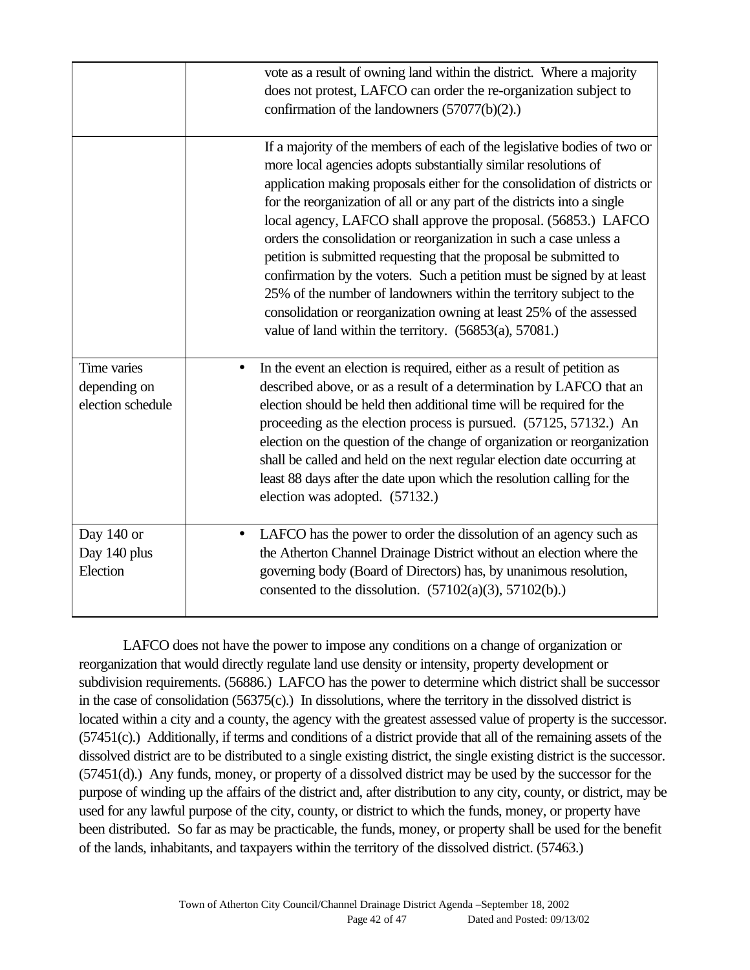|                                                  | vote as a result of owning land within the district. Where a majority<br>does not protest, LAFCO can order the re-organization subject to<br>confirmation of the landowners (57077(b)(2).)                                                                                                                                                                                                                                                                                                                                                                                                                                                                                                                                                                                                             |
|--------------------------------------------------|--------------------------------------------------------------------------------------------------------------------------------------------------------------------------------------------------------------------------------------------------------------------------------------------------------------------------------------------------------------------------------------------------------------------------------------------------------------------------------------------------------------------------------------------------------------------------------------------------------------------------------------------------------------------------------------------------------------------------------------------------------------------------------------------------------|
|                                                  | If a majority of the members of each of the legislative bodies of two or<br>more local agencies adopts substantially similar resolutions of<br>application making proposals either for the consolidation of districts or<br>for the reorganization of all or any part of the districts into a single<br>local agency, LAFCO shall approve the proposal. (56853.) LAFCO<br>orders the consolidation or reorganization in such a case unless a<br>petition is submitted requesting that the proposal be submitted to<br>confirmation by the voters. Such a petition must be signed by at least<br>25% of the number of landowners within the territory subject to the<br>consolidation or reorganization owning at least 25% of the assessed<br>value of land within the territory. $(56853(a), 57081.)$ |
| Time varies<br>depending on<br>election schedule | In the event an election is required, either as a result of petition as<br>$\bullet$<br>described above, or as a result of a determination by LAFCO that an<br>election should be held then additional time will be required for the<br>proceeding as the election process is pursued. (57125, 57132.) An<br>election on the question of the change of organization or reorganization<br>shall be called and held on the next regular election date occurring at<br>least 88 days after the date upon which the resolution calling for the<br>election was adopted. (57132.)                                                                                                                                                                                                                           |
| Day 140 or<br>Day 140 plus<br>Election           | LAFCO has the power to order the dissolution of an agency such as<br>the Atherton Channel Drainage District without an election where the<br>governing body (Board of Directors) has, by unanimous resolution,<br>consented to the dissolution. $(57102(a)(3), 57102(b))$ .                                                                                                                                                                                                                                                                                                                                                                                                                                                                                                                            |

LAFCO does not have the power to impose any conditions on a change of organization or reorganization that would directly regulate land use density or intensity, property development or subdivision requirements. (56886.) LAFCO has the power to determine which district shall be successor in the case of consolidation (56375(c).) In dissolutions, where the territory in the dissolved district is located within a city and a county, the agency with the greatest assessed value of property is the successor. (57451(c).) Additionally, if terms and conditions of a district provide that all of the remaining assets of the dissolved district are to be distributed to a single existing district, the single existing district is the successor. (57451(d).) Any funds, money, or property of a dissolved district may be used by the successor for the purpose of winding up the affairs of the district and, after distribution to any city, county, or district, may be used for any lawful purpose of the city, county, or district to which the funds, money, or property have been distributed. So far as may be practicable, the funds, money, or property shall be used for the benefit of the lands, inhabitants, and taxpayers within the territory of the dissolved district. (57463.)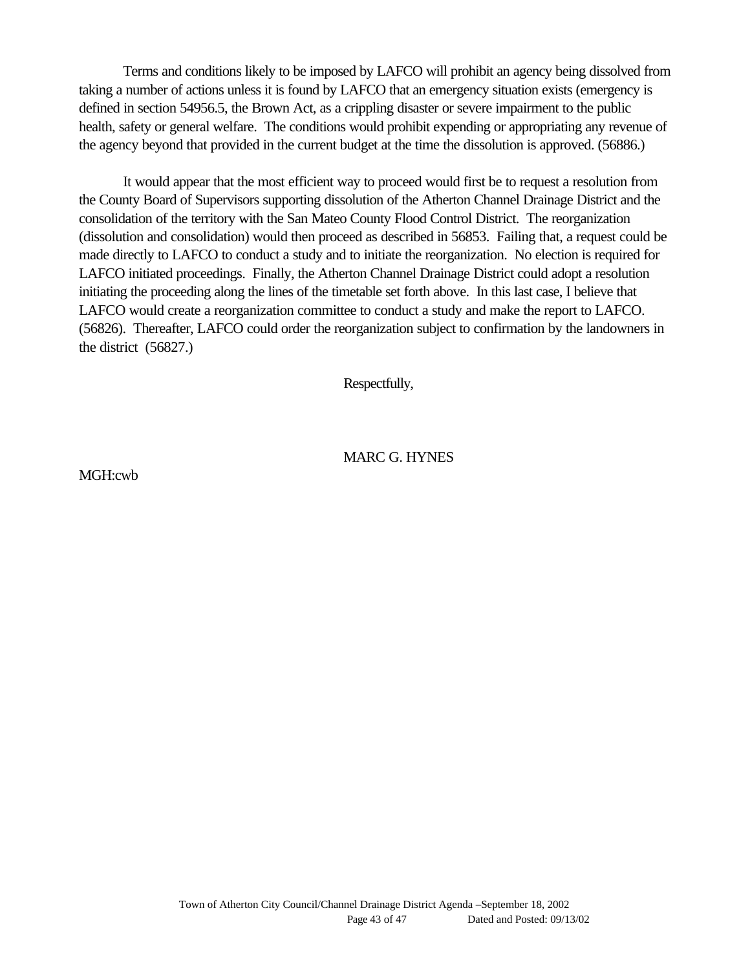Terms and conditions likely to be imposed by LAFCO will prohibit an agency being dissolved from taking a number of actions unless it is found by LAFCO that an emergency situation exists (emergency is defined in section 54956.5, the Brown Act, as a crippling disaster or severe impairment to the public health, safety or general welfare. The conditions would prohibit expending or appropriating any revenue of the agency beyond that provided in the current budget at the time the dissolution is approved. (56886.)

It would appear that the most efficient way to proceed would first be to request a resolution from the County Board of Supervisors supporting dissolution of the Atherton Channel Drainage District and the consolidation of the territory with the San Mateo County Flood Control District. The reorganization (dissolution and consolidation) would then proceed as described in 56853. Failing that, a request could be made directly to LAFCO to conduct a study and to initiate the reorganization. No election is required for LAFCO initiated proceedings. Finally, the Atherton Channel Drainage District could adopt a resolution initiating the proceeding along the lines of the timetable set forth above. In this last case, I believe that LAFCO would create a reorganization committee to conduct a study and make the report to LAFCO. (56826). Thereafter, LAFCO could order the reorganization subject to confirmation by the landowners in the district (56827.)

Respectfully,

#### MARC G. HYNES

MGH:cwb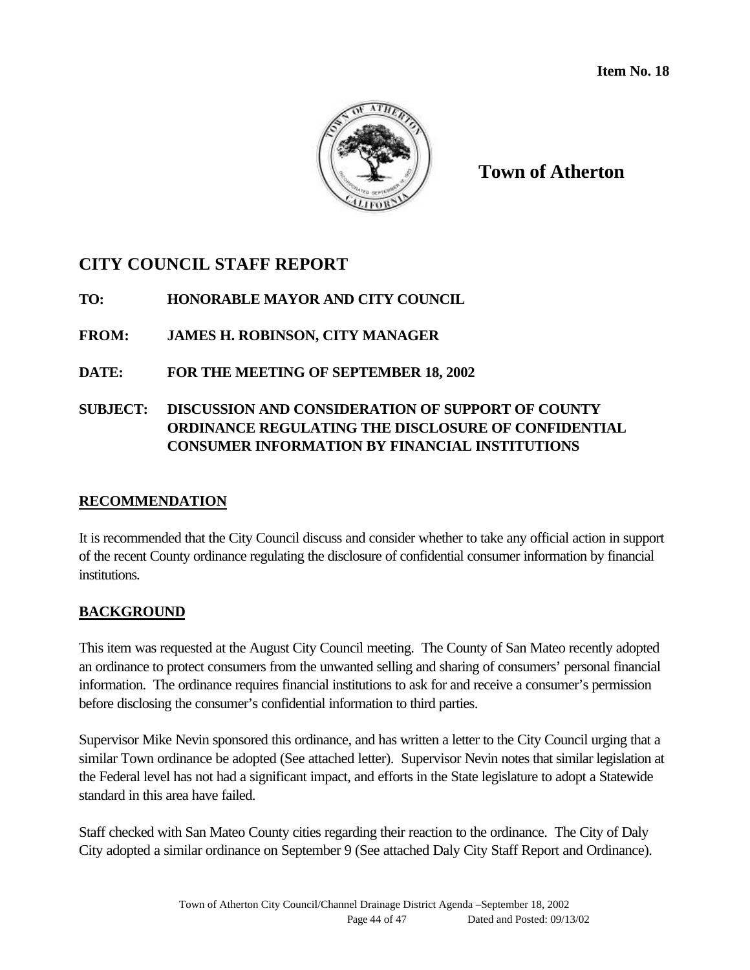

**Town of Atherton**

# **CITY COUNCIL STAFF REPORT**

**TO: HONORABLE MAYOR AND CITY COUNCIL**

**FROM: JAMES H. ROBINSON, CITY MANAGER**

**DATE: FOR THE MEETING OF SEPTEMBER 18, 2002**

## **SUBJECT: DISCUSSION AND CONSIDERATION OF SUPPORT OF COUNTY ORDINANCE REGULATING THE DISCLOSURE OF CONFIDENTIAL CONSUMER INFORMATION BY FINANCIAL INSTITUTIONS**

#### **RECOMMENDATION**

It is recommended that the City Council discuss and consider whether to take any official action in support of the recent County ordinance regulating the disclosure of confidential consumer information by financial institutions.

## **BACKGROUND**

This item was requested at the August City Council meeting. The County of San Mateo recently adopted an ordinance to protect consumers from the unwanted selling and sharing of consumers' personal financial information. The ordinance requires financial institutions to ask for and receive a consumer's permission before disclosing the consumer's confidential information to third parties.

Supervisor Mike Nevin sponsored this ordinance, and has written a letter to the City Council urging that a similar Town ordinance be adopted (See attached letter). Supervisor Nevin notes that similar legislation at the Federal level has not had a significant impact, and efforts in the State legislature to adopt a Statewide standard in this area have failed.

Staff checked with San Mateo County cities regarding their reaction to the ordinance. The City of Daly City adopted a similar ordinance on September 9 (See attached Daly City Staff Report and Ordinance).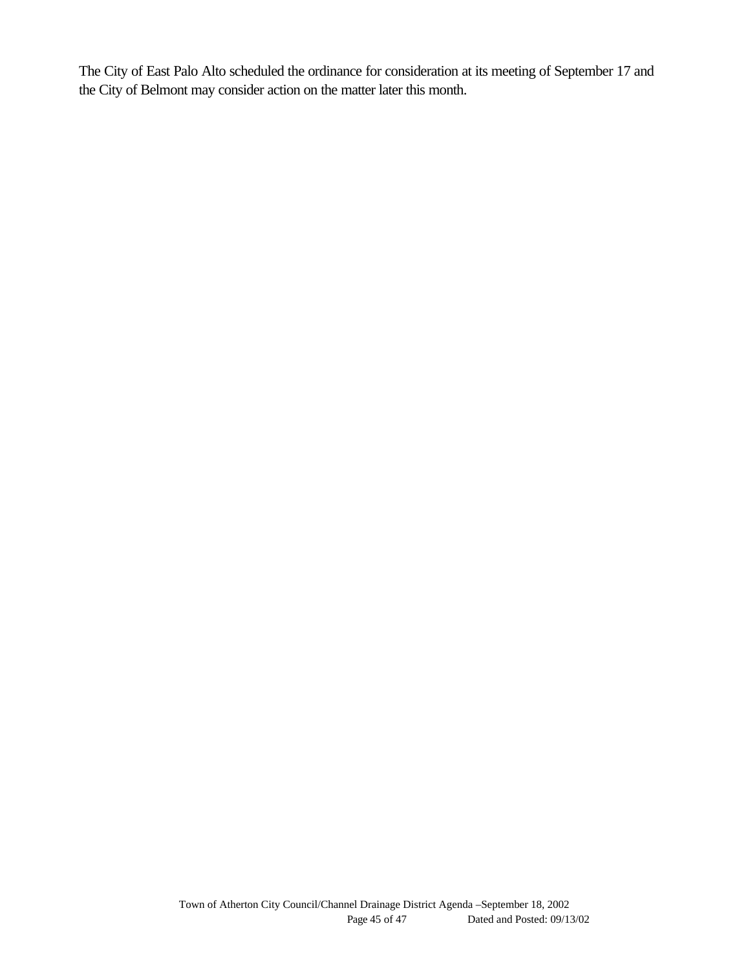The City of East Palo Alto scheduled the ordinance for consideration at its meeting of September 17 and the City of Belmont may consider action on the matter later this month.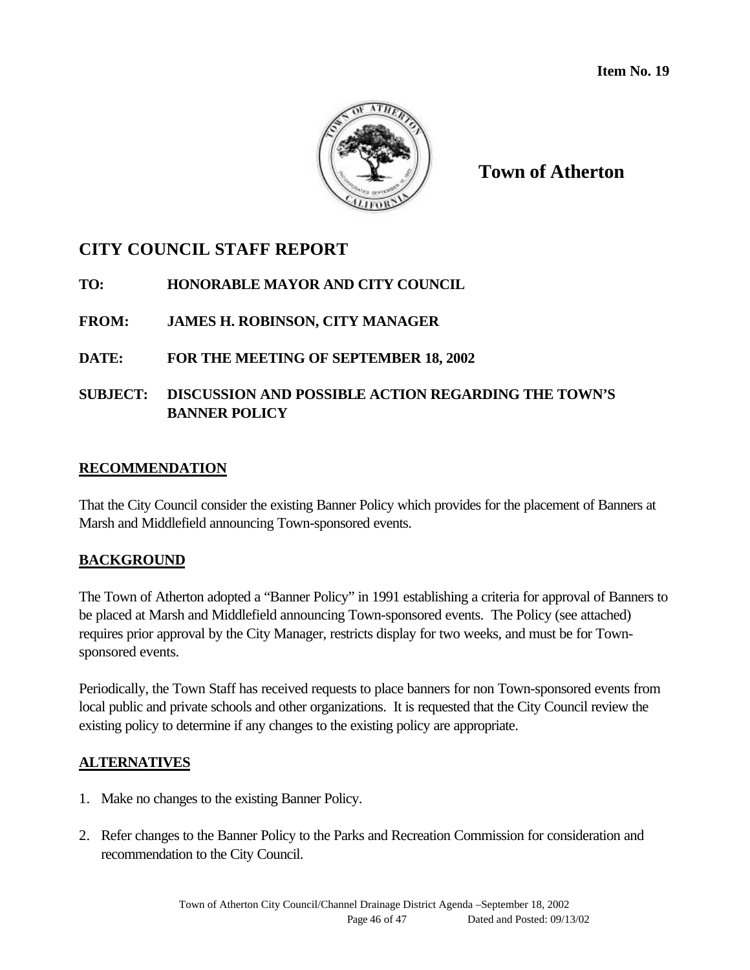

**Town of Atherton**

# **CITY COUNCIL STAFF REPORT**

- **TO: HONORABLE MAYOR AND CITY COUNCIL**
- **FROM: JAMES H. ROBINSON, CITY MANAGER**

## **DATE: FOR THE MEETING OF SEPTEMBER 18, 2002**

## **SUBJECT: DISCUSSION AND POSSIBLE ACTION REGARDING THE TOWN'S BANNER POLICY**

#### **RECOMMENDATION**

That the City Council consider the existing Banner Policy which provides for the placement of Banners at Marsh and Middlefield announcing Town-sponsored events.

## **BACKGROUND**

The Town of Atherton adopted a "Banner Policy" in 1991 establishing a criteria for approval of Banners to be placed at Marsh and Middlefield announcing Town-sponsored events. The Policy (see attached) requires prior approval by the City Manager, restricts display for two weeks, and must be for Townsponsored events.

Periodically, the Town Staff has received requests to place banners for non Town-sponsored events from local public and private schools and other organizations. It is requested that the City Council review the existing policy to determine if any changes to the existing policy are appropriate.

#### **ALTERNATIVES**

- 1. Make no changes to the existing Banner Policy.
- 2. Refer changes to the Banner Policy to the Parks and Recreation Commission for consideration and recommendation to the City Council.